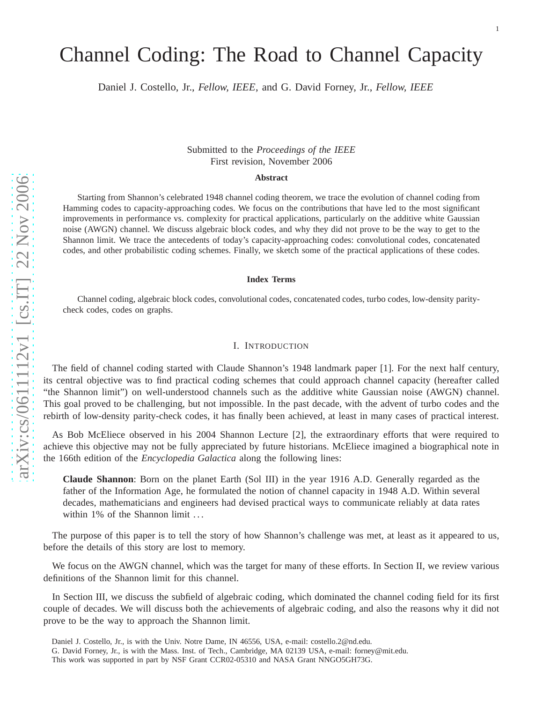# Channel Coding: The Road to Channel Capacity

Daniel J. Costello, Jr., *Fellow, IEEE*, and G. David Forney, Jr., *Fellow, IEEE*

# Submitted to the *Proceedings of the IEEE* First revision, November 2006

## **Abstract**

Starting from Shannon's celebrated 1948 channel coding theorem, we trace the evolution of channel coding from Hamming codes to capacity-approaching codes. We focus on the contributions that have led to the most significant improvements in performance vs. complexity for practical applications, particularly on the additive white Gaussian noise (AWGN) channel. We discuss algebraic block codes, and why they did not prove to be the way to get to the Shannon limit. We trace the antecedents of today's capacity-approaching codes: convolutional codes, concatenated codes, and other probabilistic coding schemes. Finally, we sketch some of the practical applications of these codes.

#### **Index Terms**

Channel coding, algebraic block codes, convolutional codes, concatenated codes, turbo codes, low-density paritycheck codes, codes on graphs.

## I. INTRODUCTION

The field of channel coding started with Claude Shannon's 1948 landmark paper [1]. For the next half century, its central objective was to find practical coding schemes that could approach channel capacity (hereafter called "the Shannon limit") on well-understood channels such as the additive white Gaussian noise (AWGN) channel. This goal proved to be challenging, but not impossible. In the past decade, with the advent of turbo codes and the rebirth of low-density parity-check codes, it has finally been achieved, at least in many cases of practical interest.

As Bob McEliece observed in his 2004 Shannon Lecture [2], the extraordinary efforts that were required to achieve this objective may not be fully appreciated by future historians. McEliece imagined a biographical note in the 166th edition of the *Encyclopedia Galactica* along the following lines:

**Claude Shannon**: Born on the planet Earth (Sol III) in the year 1916 A.D. Generally regarded as the father of the Information Age, he formulated the notion of channel capacity in 1948 A.D. Within several decades, mathematicians and engineers had devised practical ways to communicate reliably at data rates within 1% of the Shannon limit ...

The purpose of this paper is to tell the story of how Shannon's challenge was met, at least as it appeared to us, before the details of this story are lost to memory.

We focus on the AWGN channel, which was the target for many of these efforts. In Section II, we review various definitions of the Shannon limit for this channel.

In Section III, we discuss the subfield of algebraic coding, which dominated the channel coding field for its first couple of decades. We will discuss both the achievements of algebraic coding, and also the reasons why it did not prove to be the way to approach the Shannon limit.

Daniel J. Costello, Jr., is with the Univ. Notre Dame, IN 46556, USA, e-mail: costello.2@nd.edu.

G. David Forney, Jr., is with the Mass. Inst. of Tech., Cambridge, MA 02139 USA, e-mail: forney@mit.edu.

This work was supported in part by NSF Grant CCR02-05310 and NASA Grant NNGO5GH73G.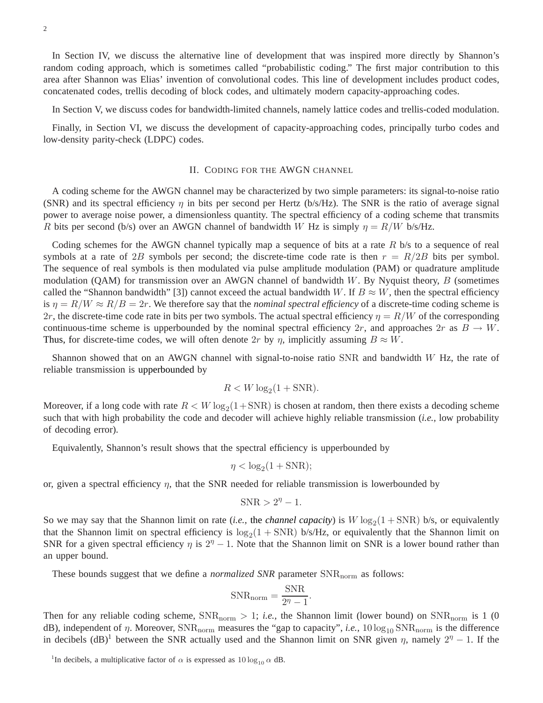In Section IV, we discuss the alternative line of development that was inspired more directly by Shannon's random coding approach, which is sometimes called "probabilistic coding." The first major contribution to this area after Shannon was Elias' invention of convolutional codes. This line of development includes product codes, concatenated codes, trellis decoding of block codes, and ultimately modern capacity-approaching codes.

In Section V, we discuss codes for bandwidth-limited channels, namely lattice codes and trellis-coded modulation.

Finally, in Section VI, we discuss the development of capacity-approaching codes, principally turbo codes and low-density parity-check (LDPC) codes.

## II. CODING FOR THE AWGN CHANNEL

A coding scheme for the AWGN channel may be characterized by two simple parameters: its signal-to-noise ratio (SNR) and its spectral efficiency  $\eta$  in bits per second per Hertz (b/s/Hz). The SNR is the ratio of average signal power to average noise power, a dimensionless quantity. The spectral efficiency of a coding scheme that transmits R bits per second (b/s) over an AWGN channel of bandwidth W Hz is simply  $\eta = R/W$  b/s/Hz.

Coding schemes for the AWGN channel typically map a sequence of bits at a rate  $R$  b/s to a sequence of real symbols at a rate of 2B symbols per second; the discrete-time code rate is then  $r = R/2B$  bits per symbol. The sequence of real symbols is then modulated via pulse amplitude modulation (PAM) or quadrature amplitude modulation (QAM) for transmission over an AWGN channel of bandwidth  $W$ . By Nyquist theory,  $B$  (sometimes called the "Shannon bandwidth" [3]) cannot exceed the actual bandwidth W. If  $B \approx W$ , then the spectral efficiency is  $\eta = R/W \approx R/B = 2r$ . We therefore say that the *nominal spectral efficiency* of a discrete-time coding scheme is 2r, the discrete-time code rate in bits per two symbols. The actual spectral efficiency  $\eta = R/W$  of the corresponding continuous-time scheme is upperbounded by the nominal spectral efficiency  $2r$ , and approaches  $2r$  as  $B \to W$ . Thus, for discrete-time codes, we will often denote 2r by  $\eta$ , implicitly assuming  $B \approx W$ .

Shannon showed that on an AWGN channel with signal-to-noise ratio  $SNR$  and bandwidth  $W$  Hz, the rate of reliable transmission is upperbounded by

$$
R < W \log_2(1 + \text{SNR}).
$$

Moreover, if a long code with rate  $R < W \log_2(1 + SNR)$  is chosen at random, then there exists a decoding scheme such that with high probability the code and decoder will achieve highly reliable transmission (*i.e.,* low probability of decoding error).

Equivalently, Shannon's result shows that the spectral efficiency is upperbounded by

$$
\eta < \log_2(1 + \text{SNR});
$$

or, given a spectral efficiency  $\eta$ , that the SNR needed for reliable transmission is lowerbounded by

$$
SNR > 2^{\eta} - 1.
$$

So we may say that the Shannon limit on rate (*i.e.*, the *channel capacity*) is  $W \log_2(1 + SNR)$  b/s, or equivalently that the Shannon limit on spectral efficiency is  $log_2(1 + SNR)$  b/s/Hz, or equivalently that the Shannon limit on SNR for a given spectral efficiency  $\eta$  is  $2^{\eta} - 1$ . Note that the Shannon limit on SNR is a lower bound rather than an upper bound.

These bounds suggest that we define a *normalized SNR* parameter  $SNR_{norm}$  as follows:

$$
SNR_{norm} = \frac{SNR}{2^{\eta} - 1}.
$$

Then for any reliable coding scheme,  $SNR_{norm} > 1$ ; *i.e.*, the Shannon limit (lower bound) on  $SNR_{norm}$  is 1 (0) dB), independent of  $\eta$ . Moreover,  $SNR_{norm}$  measures the "gap to capacity", *i.e.*,  $10 \log_{10} SNR_{norm}$  is the difference in decibels  $(dB)^1$  between the SNR actually used and the Shannon limit on SNR given  $\eta$ , namely  $2^{\eta} - 1$ . If the

<sup>&</sup>lt;sup>1</sup>In decibels, a multiplicative factor of  $\alpha$  is expressed as 10 log<sub>10</sub>  $\alpha$  dB.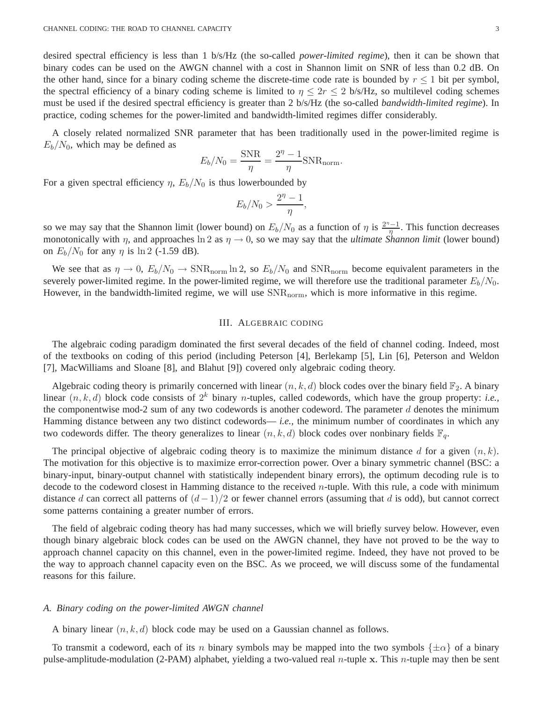desired spectral efficiency is less than 1 b/s/Hz (the so-called *power-limited regime*), then it can be shown that binary codes can be used on the AWGN channel with a cost in Shannon limit on SNR of less than 0.2 dB. On the other hand, since for a binary coding scheme the discrete-time code rate is bounded by  $r \leq 1$  bit per symbol, the spectral efficiency of a binary coding scheme is limited to  $\eta \leq 2r \leq 2$  b/s/Hz, so multilevel coding schemes must be used if the desired spectral efficiency is greater than 2 b/s/Hz (the so-called *bandwidth-limited regime*). In practice, coding schemes for the power-limited and bandwidth-limited regimes differ considerably.

A closely related normalized SNR parameter that has been traditionally used in the power-limited regime is  $E_b/N_0$ , which may be defined as

$$
E_b/N_0 = \frac{\text{SNR}}{\eta} = \frac{2^{\eta} - 1}{\eta} \text{SNR}_{\text{norm}}.
$$

For a given spectral efficiency  $\eta$ ,  $E_b/N_0$  is thus lowerbounded by

$$
E_b/N_0 > \frac{2^{\eta} - 1}{\eta},
$$

so we may say that the Shannon limit (lower bound) on  $E_b/N_0$  as a function of  $\eta$  is  $\frac{2^{\eta}-1}{\eta}$  $\frac{(-1)}{\eta}$ . This function decreases monotonically with  $\eta$ , and approaches ln 2 as  $\eta \to 0$ , so we may say that the *ultimate Shannon limit* (lower bound) on  $E_b/N_0$  for any  $\eta$  is  $\ln 2$  (-1.59 dB).

We see that as  $\eta \to 0$ ,  $E_b/N_0 \to \text{SNR}_{\text{norm}} \ln 2$ , so  $E_b/N_0$  and  $\text{SNR}_{\text{norm}}$  become equivalent parameters in the severely power-limited regime. In the power-limited regime, we will therefore use the traditional parameter  $E_b/N_0$ . However, in the bandwidth-limited regime, we will use  $SNR_{norm}$ , which is more informative in this regime.

## III. ALGEBRAIC CODING

The algebraic coding paradigm dominated the first several decades of the field of channel coding. Indeed, most of the textbooks on coding of this period (including Peterson [4], Berlekamp [5], Lin [6], Peterson and Weldon [7], MacWilliams and Sloane [8], and Blahut [9]) covered only algebraic coding theory.

Algebraic coding theory is primarily concerned with linear  $(n, k, d)$  block codes over the binary field  $\mathbb{F}_2$ . A binary linear  $(n, k, d)$  block code consists of  $2^k$  binary *n*-tuples, called codewords, which have the group property: *i.e.*, the componentwise mod-2 sum of any two codewords is another codeword. The parameter  $d$  denotes the minimum Hamming distance between any two distinct codewords— *i.e.,* the minimum number of coordinates in which any two codewords differ. The theory generalizes to linear  $(n, k, d)$  block codes over nonbinary fields  $\mathbb{F}_q$ .

The principal objective of algebraic coding theory is to maximize the minimum distance d for a given  $(n, k)$ . The motivation for this objective is to maximize error-correction power. Over a binary symmetric channel (BSC: a binary-input, binary-output channel with statistically independent binary errors), the optimum decoding rule is to decode to the codeword closest in Hamming distance to the received  $n$ -tuple. With this rule, a code with minimum distance d can correct all patterns of  $(d-1)/2$  or fewer channel errors (assuming that d is odd), but cannot correct some patterns containing a greater number of errors.

The field of algebraic coding theory has had many successes, which we will briefly survey below. However, even though binary algebraic block codes can be used on the AWGN channel, they have not proved to be the way to approach channel capacity on this channel, even in the power-limited regime. Indeed, they have not proved to be the way to approach channel capacity even on the BSC. As we proceed, we will discuss some of the fundamental reasons for this failure.

#### *A. Binary coding on the power-limited AWGN channel*

A binary linear  $(n, k, d)$  block code may be used on a Gaussian channel as follows.

To transmit a codeword, each of its n binary symbols may be mapped into the two symbols  $\{\pm \alpha\}$  of a binary pulse-amplitude-modulation (2-PAM) alphabet, yielding a two-valued real n-tuple x. This n-tuple may then be sent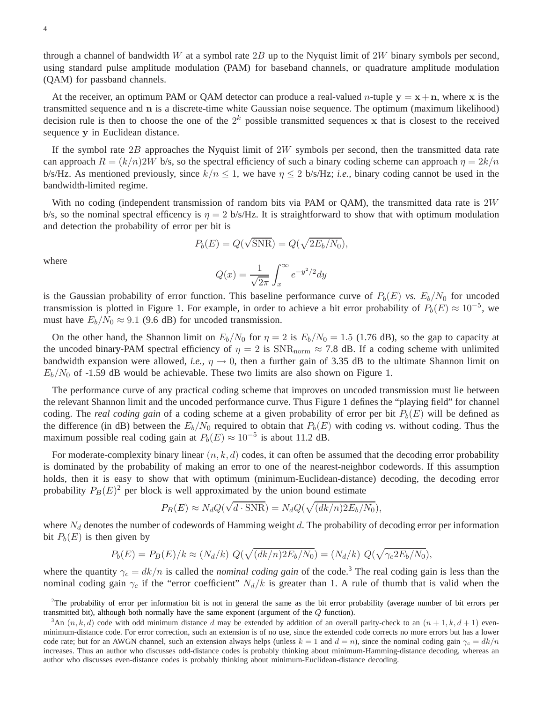through a channel of bandwidth W at a symbol rate  $2B$  up to the Nyquist limit of  $2W$  binary symbols per second, using standard pulse amplitude modulation (PAM) for baseband channels, or quadrature amplitude modulation (QAM) for passband channels.

At the receiver, an optimum PAM or QAM detector can produce a real-valued n-tuple  $y = x + n$ , where x is the transmitted sequence and n is a discrete-time white Gaussian noise sequence. The optimum (maximum likelihood) decision rule is then to choose the one of the  $2^k$  possible transmitted sequences x that is closest to the received sequence y in Euclidean distance.

If the symbol rate 2B approaches the Nyquist limit of 2W symbols per second, then the transmitted data rate can approach  $R = (k/n)2W$  b/s, so the spectral efficiency of such a binary coding scheme can approach  $\eta = 2k/n$ b/s/Hz. As mentioned previously, since  $k/n \le 1$ , we have  $\eta \le 2$  b/s/Hz; *i.e.*, binary coding cannot be used in the bandwidth-limited regime.

With no coding (independent transmission of random bits via PAM or QAM), the transmitted data rate is  $2W$ b/s, so the nominal spectral efficency is  $\eta = 2$  b/s/Hz. It is straightforward to show that with optimum modulation and detection the probability of error per bit is

$$
P_b(E) = Q(\sqrt{\text{SNR}}) = Q(\sqrt{2E_b/N_0}),
$$

where

$$
Q(x) = \frac{1}{\sqrt{2\pi}} \int_x^{\infty} e^{-y^2/2} dy
$$

is the Gaussian probability of error function. This baseline performance curve of  $P_b(E)$  *vs.*  $E_b/N_0$  for uncoded transmission is plotted in Figure 1. For example, in order to achieve a bit error probability of  $P_b(E) \approx 10^{-5}$ , we must have  $E_b/N_0 \approx 9.1$  (9.6 dB) for uncoded transmission.

On the other hand, the Shannon limit on  $E_b/N_0$  for  $\eta = 2$  is  $E_b/N_0 = 1.5$  (1.76 dB), so the gap to capacity at the uncoded binary-PAM spectral efficiency of  $\eta = 2$  is SNR<sub>norm</sub>  $\approx 7.8$  dB. If a coding scheme with unlimited bandwidth expansion were allowed, *i.e.*,  $\eta \rightarrow 0$ , then a further gain of 3.35 dB to the ultimate Shannon limit on  $E_b/N_0$  of -1.59 dB would be achievable. These two limits are also shown on Figure 1.

The performance curve of any practical coding scheme that improves on uncoded transmission must lie between the relevant Shannon limit and the uncoded performance curve. Thus Figure 1 defines the "playing field" for channel coding. The *real coding gain* of a coding scheme at a given probability of error per bit  $P_b(E)$  will be defined as the difference (in dB) between the  $E_b/N_0$  required to obtain that  $P_b(E)$  with coding *vs.* without coding. Thus the maximum possible real coding gain at  $P_b(E) \approx 10^{-5}$  is about 11.2 dB.

For moderate-complexity binary linear  $(n, k, d)$  codes, it can often be assumed that the decoding error probability is dominated by the probability of making an error to one of the nearest-neighbor codewords. If this assumption holds, then it is easy to show that with optimum (minimum-Euclidean-distance) decoding, the decoding error probability  $P_B(E)^2$  per block is well approximated by the union bound estimate

$$
P_B(E) \approx N_d Q(\sqrt{d \cdot \text{SNR}}) = N_d Q(\sqrt{(dk/n)2E_b/N_0}),
$$

where  $N_d$  denotes the number of codewords of Hamming weight d. The probability of decoding error per information bit  $P_b(E)$  is then given by

$$
P_b(E) = P_B(E)/k \approx (N_d/k) \ Q(\sqrt{(dk/n)2E_b/N_0}) = (N_d/k) \ Q(\sqrt{\gamma_c 2E_b/N_0}),
$$

where the quantity  $\gamma_c = dk/n$  is called the *nominal coding gain* of the code.<sup>3</sup> The real coding gain is less than the nominal coding gain  $\gamma_c$  if the "error coefficient"  $N_d/k$  is greater than 1. A rule of thumb that is valid when the

<sup>&</sup>lt;sup>2</sup>The probability of error per information bit is not in general the same as the bit error probability (average number of bit errors per transmitted bit), although both normally have the same exponent (argument of the Q function).

<sup>&</sup>lt;sup>3</sup>An  $(n, k, d)$  code with odd minimum distance d may be extended by addition of an overall parity-check to an  $(n + 1, k, d + 1)$  evenminimum-distance code. For error correction, such an extension is of no use, since the extended code corrects no more errors but has a lower code rate; but for an AWGN channel, such an extension always helps (unless  $k = 1$  and  $d = n$ ), since the nominal coding gain  $\gamma_c = dk/n$ increases. Thus an author who discusses odd-distance codes is probably thinking about minimum-Hamming-distance decoding, whereas an author who discusses even-distance codes is probably thinking about minimum-Euclidean-distance decoding.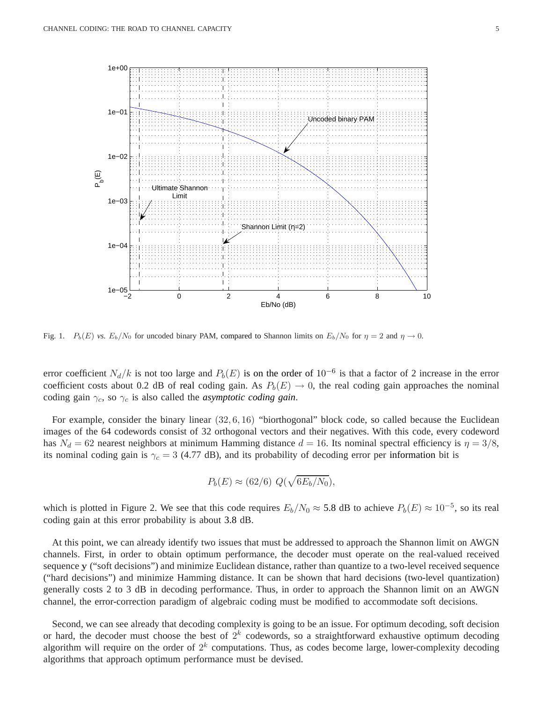

Fig. 1.  $P_b(E)$  *vs.*  $E_b/N_0$  for uncoded binary PAM, compared to Shannon limits on  $E_b/N_0$  for  $\eta = 2$  and  $\eta \to 0$ .

error coefficient  $N_d/k$  is not too large and  $P_b(E)$  is on the order of  $10^{-6}$  is that a factor of 2 increase in the error coefficient costs about 0.2 dB of real coding gain. As  $P_b(E) \rightarrow 0$ , the real coding gain approaches the nominal coding gain  $\gamma_c$ , so  $\gamma_c$  is also called the *asymptotic coding gain*.

For example, consider the binary linear (32, 6, 16) "biorthogonal" block code, so called because the Euclidean images of the 64 codewords consist of 32 orthogonal vectors and their negatives. With this code, every codeword has  $N_d = 62$  nearest neighbors at minimum Hamming distance  $d = 16$ . Its nominal spectral efficiency is  $\eta = 3/8$ , its nominal coding gain is  $\gamma_c = 3$  (4.77 dB), and its probability of decoding error per information bit is

$$
P_b(E) \approx (62/6) Q(\sqrt{6E_b/N_0}),
$$

which is plotted in Figure 2. We see that this code requires  $E_b/N_0 \approx 5.8$  dB to achieve  $P_b(E) \approx 10^{-5}$ , so its real coding gain at this error probability is about 3.8 dB.

At this point, we can already identify two issues that must be addressed to approach the Shannon limit on AWGN channels. First, in order to obtain optimum performance, the decoder must operate on the real-valued received sequence y ("soft decisions") and minimize Euclidean distance, rather than quantize to a two-level received sequence ("hard decisions") and minimize Hamming distance. It can be shown that hard decisions (two-level quantization) generally costs 2 to 3 dB in decoding performance. Thus, in order to approach the Shannon limit on an AWGN channel, the error-correction paradigm of algebraic coding must be modified to accommodate soft decisions.

Second, we can see already that decoding complexity is going to be an issue. For optimum decoding, soft decision or hard, the decoder must choose the best of  $2^k$  codewords, so a straightforward exhaustive optimum decoding algorithm will require on the order of  $2^k$  computations. Thus, as codes become large, lower-complexity decoding algorithms that approach optimum performance must be devised.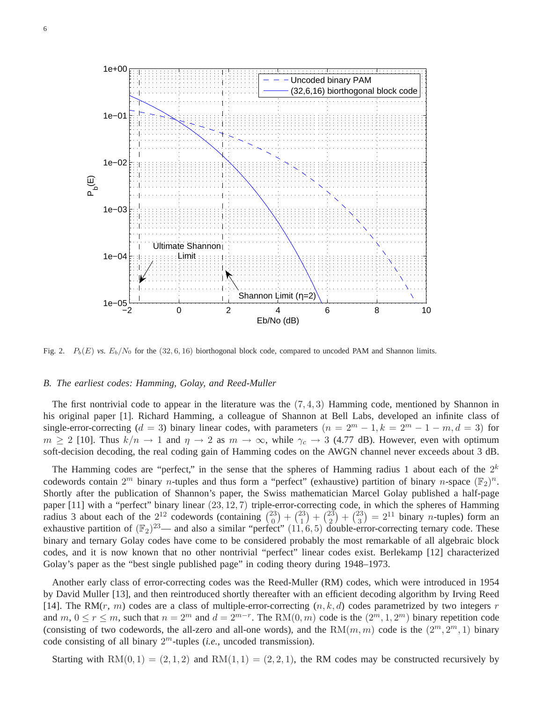

Fig. 2.  $P_b(E)$  *vs.*  $E_b/N_0$  for the (32, 6, 16) biorthogonal block code, compared to uncoded PAM and Shannon limits.

## *B. The earliest codes: Hamming, Golay, and Reed-Muller*

The first nontrivial code to appear in the literature was the  $(7, 4, 3)$  Hamming code, mentioned by Shannon in his original paper [1]. Richard Hamming, a colleague of Shannon at Bell Labs, developed an infinite class of single-error-correcting (d = 3) binary linear codes, with parameters  $(n = 2<sup>m</sup> - 1, k = 2<sup>m</sup> - 1 - m, d = 3)$  for  $m \ge 2$  [10]. Thus  $k/n \to 1$  and  $\eta \to 2$  as  $m \to \infty$ , while  $\gamma_c \to 3$  (4.77 dB). However, even with optimum soft-decision decoding, the real coding gain of Hamming codes on the AWGN channel never exceeds about 3 dB.

The Hamming codes are "perfect," in the sense that the spheres of Hamming radius 1 about each of the  $2^k$ codewords contain  $2^m$  binary *n*-tuples and thus form a "perfect" (exhaustive) partition of binary *n*-space  $(\mathbb{F}_2)^n$ . Shortly after the publication of Shannon's paper, the Swiss mathematician Marcel Golay published a half-page paper [11] with a "perfect" binary linear (23, 12, 7) triple-error-correcting code, in which the spheres of Hamming radius 3 about each of the  $2^{12}$  codewords (containing  $\binom{23}{0}$  $\binom{23}{0} + \binom{23}{1}$  $\binom{23}{1} + \binom{23}{2}$  $\binom{23}{2} + \binom{23}{3}$  $\binom{23}{3}$  =  $2^{11}$  binary *n*-tuples) form an exhaustive partition of  $(\mathbb{F}_2)^{23}$ — and also a similar "perfect"  $(11, 6, 5)$  double-error-correcting ternary code. These binary and ternary Golay codes have come to be considered probably the most remarkable of all algebraic block codes, and it is now known that no other nontrivial "perfect" linear codes exist. Berlekamp [12] characterized Golay's paper as the "best single published page" in coding theory during 1948–1973.

Another early class of error-correcting codes was the Reed-Muller (RM) codes, which were introduced in 1954 by David Muller [13], and then reintroduced shortly thereafter with an efficient decoding algorithm by Irving Reed [14]. The RM $(r, m)$  codes are a class of multiple-error-correcting  $(n, k, d)$  codes parametrized by two integers r and  $m, 0 \le r \le m$ , such that  $n = 2^m$  and  $d = 2^{m-r}$ . The RM $(0, m)$  code is the  $(2^m, 1, 2^m)$  binary repetition code (consisting of two codewords, the all-zero and all-one words), and the  $RM(m, m)$  code is the  $(2^m, 2^m, 1)$  binary code consisting of all binary 2 <sup>m</sup>-tuples (*i.e.,* uncoded transmission).

Starting with  $RM(0, 1) = (2, 1, 2)$  and  $RM(1, 1) = (2, 2, 1)$ , the RM codes may be constructed recursively by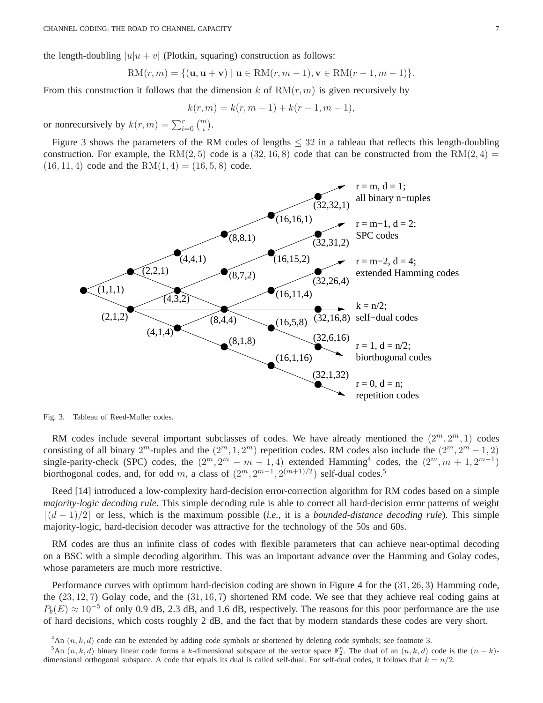the length-doubling  $|u|u + v|$  (Plotkin, squaring) construction as follows:

$$
RM(r, m) = \{(\mathbf{u}, \mathbf{u} + \mathbf{v}) \mid \mathbf{u} \in RM(r, m-1), \mathbf{v} \in RM(r-1, m-1)\}.
$$

From this construction it follows that the dimension k of  $RM(r, m)$  is given recursively by

$$
k(r, m) = k(r, m - 1) + k(r - 1, m - 1),
$$

or nonrecursively by  $k(r, m) = \sum_{i=0}^{r} \binom{m}{i}$ .

Figure 3 shows the parameters of the RM codes of lengths  $\leq$  32 in a tableau that reflects this length-doubling construction. For example, the RM(2,5) code is a (32, 16,8) code that can be constructed from the RM(2, 4) =  $(16, 11, 4)$  code and the RM $(1, 4) = (16, 5, 8)$  code.



Fig. 3. Tableau of Reed-Muller codes.

RM codes include several important subclasses of codes. We have already mentioned the  $(2^m, 2^m, 1)$  codes consisting of all binary  $2^m$ -tuples and the  $(2^m, 1, 2^m)$  repetition codes. RM codes also include the  $(2^m, 2^m - 1, 2)$ single-parity-check (SPC) codes, the  $(2^m, 2^m - m - 1, 4)$  extended Hamming<sup>4</sup> codes, the  $(2^m, m + 1, 2^{m-1})$ biorthogonal codes, and, for odd m, a class of  $(2^m, 2^{m-1}, 2^{(m+1)/2})$  self-dual codes.<sup>5</sup>

Reed [14] introduced a low-complexity hard-decision error-correction algorithm for RM codes based on a simple *majority-logic decoding rule*. This simple decoding rule is able to correct all hard-decision error patterns of weight ⌊(d − 1)/2⌋ or less, which is the maximum possible (*i.e.,* it is a *bounded-distance decoding rule*). This simple majority-logic, hard-decision decoder was attractive for the technology of the 50s and 60s.

RM codes are thus an infinite class of codes with flexible parameters that can achieve near-optimal decoding on a BSC with a simple decoding algorithm. This was an important advance over the Hamming and Golay codes, whose parameters are much more restrictive.

Performance curves with optimum hard-decision coding are shown in Figure 4 for the (31, 26, 3) Hamming code, the (23, 12, 7) Golay code, and the (31, 16, 7) shortened RM code. We see that they achieve real coding gains at  $P_b(E) \approx 10^{-5}$  of only 0.9 dB, 2.3 dB, and 1.6 dB, respectively. The reasons for this poor performance are the use of hard decisions, which costs roughly 2 dB, and the fact that by modern standards these codes are very short.

 $4An (n, k, d)$  code can be extended by adding code symbols or shortened by deleting code symbols; see footnote 3.

<sup>&</sup>lt;sup>5</sup>An  $(n, k, d)$  binary linear code forms a k-dimensional subspace of the vector space  $\mathbb{F}_2^n$ . The dual of an  $(n, k, d)$  code is the  $(n - k)$ dimensional orthogonal subspace. A code that equals its dual is called self-dual. For self-dual codes, it follows that  $k = n/2$ .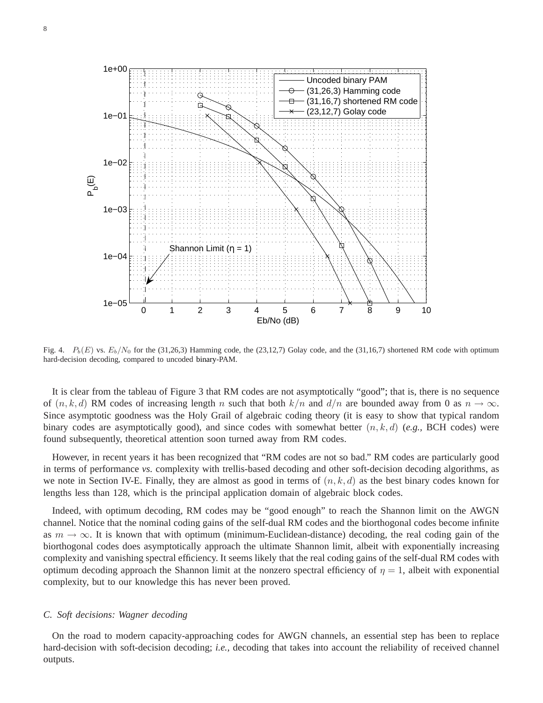

Fig. 4.  $P_b(E)$  vs.  $E_b/N_0$  for the (31,26,3) Hamming code, the (23,12,7) Golay code, and the (31,16,7) shortened RM code with optimum hard-decision decoding, compared to uncoded binary-PAM.

It is clear from the tableau of Figure 3 that RM codes are not asymptotically "good"; that is, there is no sequence of  $(n, k, d)$  RM codes of increasing length n such that both  $k/n$  and  $d/n$  are bounded away from 0 as  $n \to \infty$ . Since asymptotic goodness was the Holy Grail of algebraic coding theory (it is easy to show that typical random binary codes are asymptotically good), and since codes with somewhat better (n, k, d) (*e.g.,* BCH codes) were found subsequently, theoretical attention soon turned away from RM codes.

However, in recent years it has been recognized that "RM codes are not so bad." RM codes are particularly good in terms of performance *vs.* complexity with trellis-based decoding and other soft-decision decoding algorithms, as we note in Section IV-E. Finally, they are almost as good in terms of  $(n, k, d)$  as the best binary codes known for lengths less than 128, which is the principal application domain of algebraic block codes.

Indeed, with optimum decoding, RM codes may be "good enough" to reach the Shannon limit on the AWGN channel. Notice that the nominal coding gains of the self-dual RM codes and the biorthogonal codes become infinite as  $m \to \infty$ . It is known that with optimum (minimum-Euclidean-distance) decoding, the real coding gain of the biorthogonal codes does asymptotically approach the ultimate Shannon limit, albeit with exponentially increasing complexity and vanishing spectral efficiency. It seems likely that the real coding gains of the self-dual RM codes with optimum decoding approach the Shannon limit at the nonzero spectral efficiency of  $\eta = 1$ , albeit with exponential complexity, but to our knowledge this has never been proved.

## *C. Soft decisions: Wagner decoding*

On the road to modern capacity-approaching codes for AWGN channels, an essential step has been to replace hard-decision with soft-decision decoding; *i.e.,* decoding that takes into account the reliability of received channel outputs.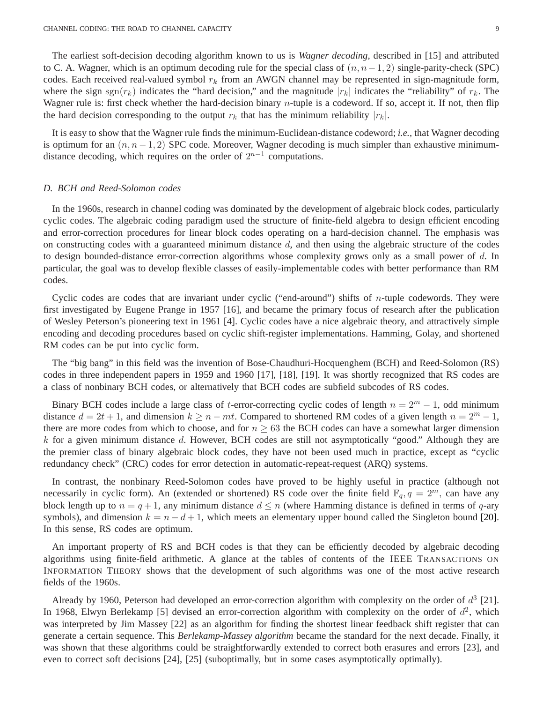The earliest soft-decision decoding algorithm known to us is *Wagner decoding*, described in [15] and attributed to C. A. Wagner, which is an optimum decoding rule for the special class of  $(n, n-1, 2)$  single-parity-check (SPC) codes. Each received real-valued symbol  $r_k$  from an AWGN channel may be represented in sign-magnitude form, where the sign sgn( $r_k$ ) indicates the "hard decision," and the magnitude  $|r_k|$  indicates the "reliability" of  $r_k$ . The Wagner rule is: first check whether the hard-decision binary *n*-tuple is a codeword. If so, accept it. If not, then flip the hard decision corresponding to the output  $r_k$  that has the minimum reliability  $|r_k|$ .

It is easy to show that the Wagner rule finds the minimum-Euclidean-distance codeword; *i.e.,* that Wagner decoding is optimum for an  $(n, n-1, 2)$  SPC code. Moreover, Wagner decoding is much simpler than exhaustive minimumdistance decoding, which requires on the order of  $2^{n-1}$  computations.

## *D. BCH and Reed-Solomon codes*

In the 1960s, research in channel coding was dominated by the development of algebraic block codes, particularly cyclic codes. The algebraic coding paradigm used the structure of finite-field algebra to design efficient encoding and error-correction procedures for linear block codes operating on a hard-decision channel. The emphasis was on constructing codes with a guaranteed minimum distance  $d$ , and then using the algebraic structure of the codes to design bounded-distance error-correction algorithms whose complexity grows only as a small power of  $d$ . In particular, the goal was to develop flexible classes of easily-implementable codes with better performance than RM codes.

Cyclic codes are codes that are invariant under cyclic ("end-around") shifts of n-tuple codewords. They were first investigated by Eugene Prange in 1957 [16], and became the primary focus of research after the publication of Wesley Peterson's pioneering text in 1961 [4]. Cyclic codes have a nice algebraic theory, and attractively simple encoding and decoding procedures based on cyclic shift-register implementations. Hamming, Golay, and shortened RM codes can be put into cyclic form.

The "big bang" in this field was the invention of Bose-Chaudhuri-Hocquenghem (BCH) and Reed-Solomon (RS) codes in three independent papers in 1959 and 1960 [17], [18], [19]. It was shortly recognized that RS codes are a class of nonbinary BCH codes, or alternatively that BCH codes are subfield subcodes of RS codes.

Binary BCH codes include a large class of t-error-correcting cyclic codes of length  $n = 2<sup>m</sup> - 1$ , odd minimum distance  $d = 2t + 1$ , and dimension  $k \ge n - mt$ . Compared to shortened RM codes of a given length  $n = 2^m - 1$ , there are more codes from which to choose, and for  $n \geq 63$  the BCH codes can have a somewhat larger dimension k for a given minimum distance d. However, BCH codes are still not asymptotically "good." Although they are the premier class of binary algebraic block codes, they have not been used much in practice, except as "cyclic redundancy check" (CRC) codes for error detection in automatic-repeat-request (ARQ) systems.

In contrast, the nonbinary Reed-Solomon codes have proved to be highly useful in practice (although not necessarily in cyclic form). An (extended or shortened) RS code over the finite field  $\mathbb{F}_q$ ,  $q = 2^m$ , can have any block length up to  $n = q + 1$ , any minimum distance  $d \leq n$  (where Hamming distance is defined in terms of q-ary symbols), and dimension  $k = n - d + 1$ , which meets an elementary upper bound called the Singleton bound [20]. In this sense, RS codes are optimum.

An important property of RS and BCH codes is that they can be efficiently decoded by algebraic decoding algorithms using finite-field arithmetic. A glance at the tables of contents of the IEEE TRANSACTIONS ON INFORMATION THEORY shows that the development of such algorithms was one of the most active research fields of the 1960s.

Already by 1960, Peterson had developed an error-correction algorithm with complexity on the order of  $d^3$  [21]. In 1968, Elwyn Berlekamp [5] devised an error-correction algorithm with complexity on the order of  $d^2$ , which was interpreted by Jim Massey [22] as an algorithm for finding the shortest linear feedback shift register that can generate a certain sequence. This *Berlekamp-Massey algorithm* became the standard for the next decade. Finally, it was shown that these algorithms could be straightforwardly extended to correct both erasures and errors [23], and even to correct soft decisions [24], [25] (suboptimally, but in some cases asymptotically optimally).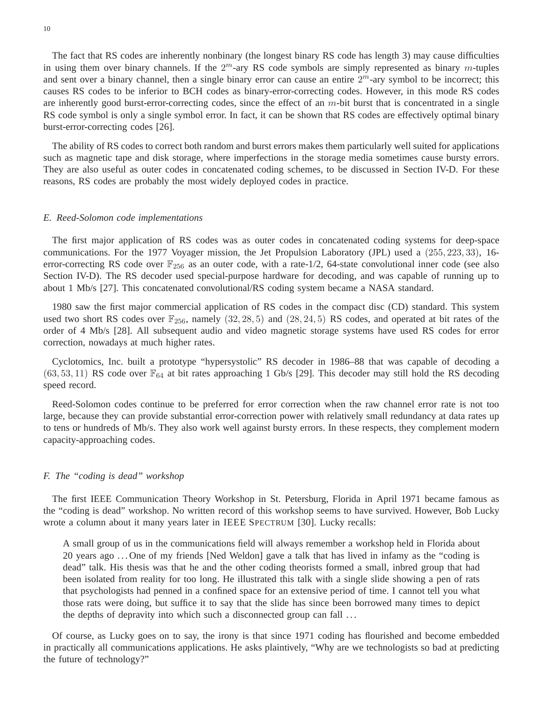The fact that RS codes are inherently nonbinary (the longest binary RS code has length 3) may cause difficulties in using them over binary channels. If the  $2^m$ -ary RS code symbols are simply represented as binary m-tuples and sent over a binary channel, then a single binary error can cause an entire  $2<sup>m</sup>$ -ary symbol to be incorrect; this causes RS codes to be inferior to BCH codes as binary-error-correcting codes. However, in this mode RS codes are inherently good burst-error-correcting codes, since the effect of an  $m$ -bit burst that is concentrated in a single RS code symbol is only a single symbol error. In fact, it can be shown that RS codes are effectively optimal binary burst-error-correcting codes [26].

The ability of RS codes to correct both random and burst errors makes them particularly well suited for applications such as magnetic tape and disk storage, where imperfections in the storage media sometimes cause bursty errors. They are also useful as outer codes in concatenated coding schemes, to be discussed in Section IV-D. For these reasons, RS codes are probably the most widely deployed codes in practice.

## *E. Reed-Solomon code implementations*

The first major application of RS codes was as outer codes in concatenated coding systems for deep-space communications. For the 1977 Voyager mission, the Jet Propulsion Laboratory (JPL) used a (255, 223, 33), 16 error-correcting RS code over  $\mathbb{F}_{256}$  as an outer code, with a rate-1/2, 64-state convolutional inner code (see also Section IV-D). The RS decoder used special-purpose hardware for decoding, and was capable of running up to about 1 Mb/s [27]. This concatenated convolutional/RS coding system became a NASA standard.

1980 saw the first major commercial application of RS codes in the compact disc (CD) standard. This system used two short RS codes over  $\mathbb{F}_{256}$ , namely (32, 28, 5) and (28, 24, 5) RS codes, and operated at bit rates of the order of 4 Mb/s [28]. All subsequent audio and video magnetic storage systems have used RS codes for error correction, nowadays at much higher rates.

Cyclotomics, Inc. built a prototype "hypersystolic" RS decoder in 1986–88 that was capable of decoding a  $(63, 53, 11)$  RS code over  $\mathbb{F}_{64}$  at bit rates approaching 1 Gb/s [29]. This decoder may still hold the RS decoding speed record.

Reed-Solomon codes continue to be preferred for error correction when the raw channel error rate is not too large, because they can provide substantial error-correction power with relatively small redundancy at data rates up to tens or hundreds of Mb/s. They also work well against bursty errors. In these respects, they complement modern capacity-approaching codes.

## *F. The "coding is dead" workshop*

The first IEEE Communication Theory Workshop in St. Petersburg, Florida in April 1971 became famous as the "coding is dead" workshop. No written record of this workshop seems to have survived. However, Bob Lucky wrote a column about it many years later in IEEE SPECTRUM [30]. Lucky recalls:

A small group of us in the communications field will always remember a workshop held in Florida about 20 years ago . . . One of my friends [Ned Weldon] gave a talk that has lived in infamy as the "coding is dead" talk. His thesis was that he and the other coding theorists formed a small, inbred group that had been isolated from reality for too long. He illustrated this talk with a single slide showing a pen of rats that psychologists had penned in a confined space for an extensive period of time. I cannot tell you what those rats were doing, but suffice it to say that the slide has since been borrowed many times to depict the depths of depravity into which such a disconnected group can fall ...

Of course, as Lucky goes on to say, the irony is that since 1971 coding has flourished and become embedded in practically all communications applications. He asks plaintively, "Why are we technologists so bad at predicting the future of technology?"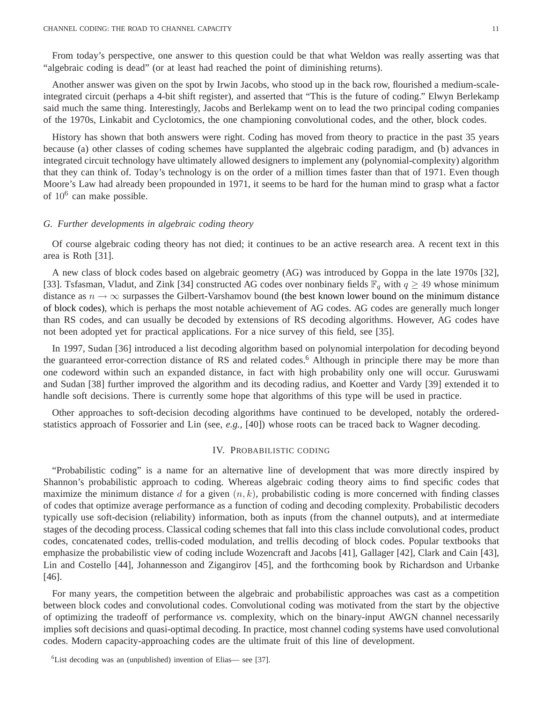From today's perspective, one answer to this question could be that what Weldon was really asserting was that "algebraic coding is dead" (or at least had reached the point of diminishing returns).

Another answer was given on the spot by Irwin Jacobs, who stood up in the back row, flourished a medium-scaleintegrated circuit (perhaps a 4-bit shift register), and asserted that "This is the future of coding." Elwyn Berlekamp said much the same thing. Interestingly, Jacobs and Berlekamp went on to lead the two principal coding companies of the 1970s, Linkabit and Cyclotomics, the one championing convolutional codes, and the other, block codes.

History has shown that both answers were right. Coding has moved from theory to practice in the past 35 years because (a) other classes of coding schemes have supplanted the algebraic coding paradigm, and (b) advances in integrated circuit technology have ultimately allowed designers to implement any (polynomial-complexity) algorithm that they can think of. Today's technology is on the order of a million times faster than that of 1971. Even though Moore's Law had already been propounded in 1971, it seems to be hard for the human mind to grasp what a factor of  $10^6$  can make possible.

## *G. Further developments in algebraic coding theory*

Of course algebraic coding theory has not died; it continues to be an active research area. A recent text in this area is Roth [31].

A new class of block codes based on algebraic geometry (AG) was introduced by Goppa in the late 1970s [32], [33]. Tsfasman, Vladut, and Zink [34] constructed AG codes over nonbinary fields  $\mathbb{F}_q$  with  $q \ge 49$  whose minimum distance as  $n \to \infty$  surpasses the Gilbert-Varshamov bound (the best known lower bound on the minimum distance of block codes), which is perhaps the most notable achievement of AG codes. AG codes are generally much longer than RS codes, and can usually be decoded by extensions of RS decoding algorithms. However, AG codes have not been adopted yet for practical applications. For a nice survey of this field, see [35].

In 1997, Sudan [36] introduced a list decoding algorithm based on polynomial interpolation for decoding beyond the guaranteed error-correction distance of RS and related codes.<sup>6</sup> Although in principle there may be more than one codeword within such an expanded distance, in fact with high probability only one will occur. Guruswami and Sudan [38] further improved the algorithm and its decoding radius, and Koetter and Vardy [39] extended it to handle soft decisions. There is currently some hope that algorithms of this type will be used in practice.

Other approaches to soft-decision decoding algorithms have continued to be developed, notably the orderedstatistics approach of Fossorier and Lin (see, *e.g.,* [40]) whose roots can be traced back to Wagner decoding.

## IV. PROBABILISTIC CODING

"Probabilistic coding" is a name for an alternative line of development that was more directly inspired by Shannon's probabilistic approach to coding. Whereas algebraic coding theory aims to find specific codes that maximize the minimum distance d for a given  $(n, k)$ , probabilistic coding is more concerned with finding classes of codes that optimize average performance as a function of coding and decoding complexity. Probabilistic decoders typically use soft-decision (reliability) information, both as inputs (from the channel outputs), and at intermediate stages of the decoding process. Classical coding schemes that fall into this class include convolutional codes, product codes, concatenated codes, trellis-coded modulation, and trellis decoding of block codes. Popular textbooks that emphasize the probabilistic view of coding include Wozencraft and Jacobs [41], Gallager [42], Clark and Cain [43], Lin and Costello [44], Johannesson and Zigangirov [45], and the forthcoming book by Richardson and Urbanke [46].

For many years, the competition between the algebraic and probabilistic approaches was cast as a competition between block codes and convolutional codes. Convolutional coding was motivated from the start by the objective of optimizing the tradeoff of performance *vs.* complexity, which on the binary-input AWGN channel necessarily implies soft decisions and quasi-optimal decoding. In practice, most channel coding systems have used convolutional codes. Modern capacity-approaching codes are the ultimate fruit of this line of development.

 ${}^{6}$ List decoding was an (unpublished) invention of Elias— see [37].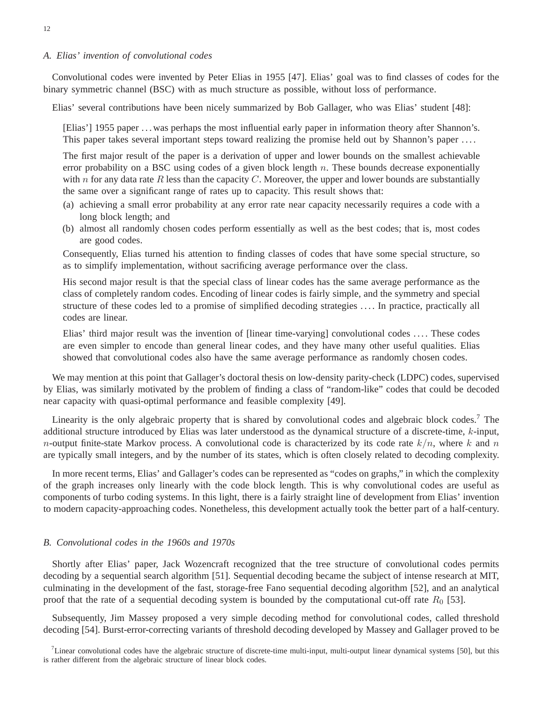## *A. Elias' invention of convolutional codes*

Convolutional codes were invented by Peter Elias in 1955 [47]. Elias' goal was to find classes of codes for the binary symmetric channel (BSC) with as much structure as possible, without loss of performance.

Elias' several contributions have been nicely summarized by Bob Gallager, who was Elias' student [48]:

[Elias'] 1955 paper . . . was perhaps the most influential early paper in information theory after Shannon's. This paper takes several important steps toward realizing the promise held out by Shannon's paper ....

The first major result of the paper is a derivation of upper and lower bounds on the smallest achievable error probability on a BSC using codes of a given block length  $n$ . These bounds decrease exponentially with n for any data rate R less than the capacity C. Moreover, the upper and lower bounds are substantially the same over a significant range of rates up to capacity. This result shows that:

- (a) achieving a small error probability at any error rate near capacity necessarily requires a code with a long block length; and
- (b) almost all randomly chosen codes perform essentially as well as the best codes; that is, most codes are good codes.

Consequently, Elias turned his attention to finding classes of codes that have some special structure, so as to simplify implementation, without sacrificing average performance over the class.

His second major result is that the special class of linear codes has the same average performance as the class of completely random codes. Encoding of linear codes is fairly simple, and the symmetry and special structure of these codes led to a promise of simplified decoding strategies . . . . In practice, practically all codes are linear.

Elias' third major result was the invention of [linear time-varying] convolutional codes . . . . These codes are even simpler to encode than general linear codes, and they have many other useful qualities. Elias showed that convolutional codes also have the same average performance as randomly chosen codes.

We may mention at this point that Gallager's doctoral thesis on low-density parity-check (LDPC) codes, supervised by Elias, was similarly motivated by the problem of finding a class of "random-like" codes that could be decoded near capacity with quasi-optimal performance and feasible complexity [49].

Linearity is the only algebraic property that is shared by convolutional codes and algebraic block codes.<sup>7</sup> The additional structure introduced by Elias was later understood as the dynamical structure of a discrete-time, k-input, *n*-output finite-state Markov process. A convolutional code is characterized by its code rate  $k/n$ , where k and n are typically small integers, and by the number of its states, which is often closely related to decoding complexity.

In more recent terms, Elias' and Gallager's codes can be represented as "codes on graphs," in which the complexity of the graph increases only linearly with the code block length. This is why convolutional codes are useful as components of turbo coding systems. In this light, there is a fairly straight line of development from Elias' invention to modern capacity-approaching codes. Nonetheless, this development actually took the better part of a half-century.

# *B. Convolutional codes in the 1960s and 1970s*

Shortly after Elias' paper, Jack Wozencraft recognized that the tree structure of convolutional codes permits decoding by a sequential search algorithm [51]. Sequential decoding became the subject of intense research at MIT, culminating in the development of the fast, storage-free Fano sequential decoding algorithm [52], and an analytical proof that the rate of a sequential decoding system is bounded by the computational cut-off rate  $R_0$  [53].

Subsequently, Jim Massey proposed a very simple decoding method for convolutional codes, called threshold decoding [54]. Burst-error-correcting variants of threshold decoding developed by Massey and Gallager proved to be

 $^7$ Linear convolutional codes have the algebraic structure of discrete-time multi-input, multi-output linear dynamical systems [50], but this is rather different from the algebraic structure of linear block codes.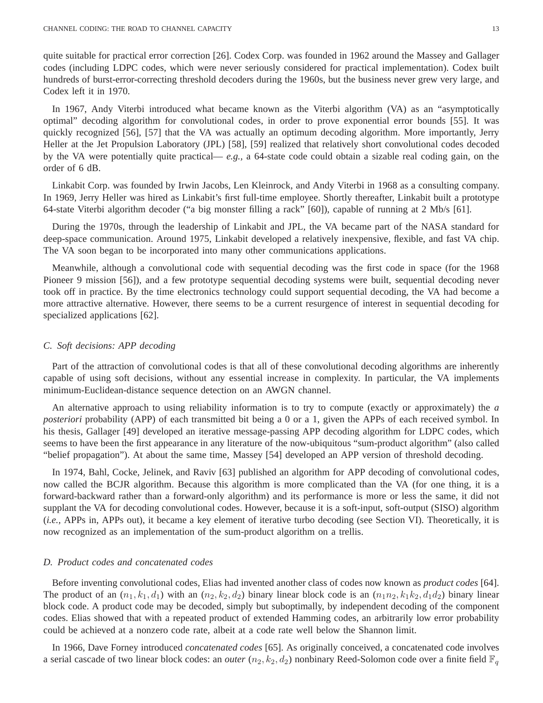quite suitable for practical error correction [26]. Codex Corp. was founded in 1962 around the Massey and Gallager codes (including LDPC codes, which were never seriously considered for practical implementation). Codex built hundreds of burst-error-correcting threshold decoders during the 1960s, but the business never grew very large, and Codex left it in 1970.

In 1967, Andy Viterbi introduced what became known as the Viterbi algorithm (VA) as an "asymptotically optimal" decoding algorithm for convolutional codes, in order to prove exponential error bounds [55]. It was quickly recognized [56], [57] that the VA was actually an optimum decoding algorithm. More importantly, Jerry Heller at the Jet Propulsion Laboratory (JPL) [58], [59] realized that relatively short convolutional codes decoded by the VA were potentially quite practical— *e.g.,* a 64-state code could obtain a sizable real coding gain, on the order of 6 dB.

Linkabit Corp. was founded by Irwin Jacobs, Len Kleinrock, and Andy Viterbi in 1968 as a consulting company. In 1969, Jerry Heller was hired as Linkabit's first full-time employee. Shortly thereafter, Linkabit built a prototype 64-state Viterbi algorithm decoder ("a big monster filling a rack" [60]), capable of running at 2 Mb/s [61].

During the 1970s, through the leadership of Linkabit and JPL, the VA became part of the NASA standard for deep-space communication. Around 1975, Linkabit developed a relatively inexpensive, flexible, and fast VA chip. The VA soon began to be incorporated into many other communications applications.

Meanwhile, although a convolutional code with sequential decoding was the first code in space (for the 1968 Pioneer 9 mission [56]), and a few prototype sequential decoding systems were built, sequential decoding never took off in practice. By the time electronics technology could support sequential decoding, the VA had become a more attractive alternative. However, there seems to be a current resurgence of interest in sequential decoding for specialized applications [62].

## *C. Soft decisions: APP decoding*

Part of the attraction of convolutional codes is that all of these convolutional decoding algorithms are inherently capable of using soft decisions, without any essential increase in complexity. In particular, the VA implements minimum-Euclidean-distance sequence detection on an AWGN channel.

An alternative approach to using reliability information is to try to compute (exactly or approximately) the *a posteriori* probability (APP) of each transmitted bit being a 0 or a 1, given the APPs of each received symbol. In his thesis, Gallager [49] developed an iterative message-passing APP decoding algorithm for LDPC codes, which seems to have been the first appearance in any literature of the now-ubiquitous "sum-product algorithm" (also called "belief propagation"). At about the same time, Massey [54] developed an APP version of threshold decoding.

In 1974, Bahl, Cocke, Jelinek, and Raviv [63] published an algorithm for APP decoding of convolutional codes, now called the BCJR algorithm. Because this algorithm is more complicated than the VA (for one thing, it is a forward-backward rather than a forward-only algorithm) and its performance is more or less the same, it did not supplant the VA for decoding convolutional codes. However, because it is a soft-input, soft-output (SISO) algorithm (*i.e.,* APPs in, APPs out), it became a key element of iterative turbo decoding (see Section VI). Theoretically, it is now recognized as an implementation of the sum-product algorithm on a trellis.

# *D. Product codes and concatenated codes*

Before inventing convolutional codes, Elias had invented another class of codes now known as *product codes* [64]. The product of an  $(n_1, k_1, d_1)$  with an  $(n_2, k_2, d_2)$  binary linear block code is an  $(n_1n_2, k_1k_2, d_1d_2)$  binary linear block code. A product code may be decoded, simply but suboptimally, by independent decoding of the component codes. Elias showed that with a repeated product of extended Hamming codes, an arbitrarily low error probability could be achieved at a nonzero code rate, albeit at a code rate well below the Shannon limit.

In 1966, Dave Forney introduced *concatenated codes* [65]. As originally conceived, a concatenated code involves a serial cascade of two linear block codes: an *outer*  $(n_2, k_2, d_2)$  nonbinary Reed-Solomon code over a finite field  $\mathbb{F}_q$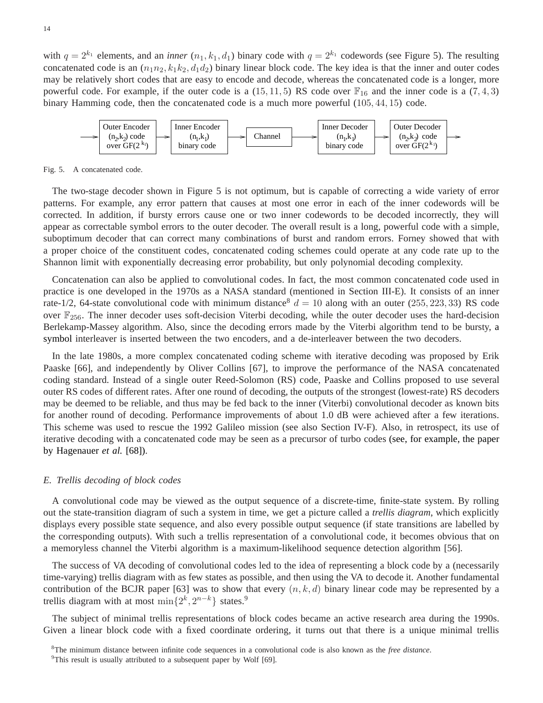with  $q = 2^{k_1}$  elements, and an *inner*  $(n_1, k_1, d_1)$  binary code with  $q = 2^{k_1}$  codewords (see Figure 5). The resulting concatenated code is an  $(n_1n_2, k_1k_2, d_1d_2)$  binary linear block code. The key idea is that the inner and outer codes may be relatively short codes that are easy to encode and decode, whereas the concatenated code is a longer, more powerful code. For example, if the outer code is a  $(15, 11, 5)$  RS code over  $\mathbb{F}_{16}$  and the inner code is a  $(7, 4, 3)$ binary Hamming code, then the concatenated code is a much more powerful (105, 44, 15) code.



Fig. 5. A concatenated code.

The two-stage decoder shown in Figure 5 is not optimum, but is capable of correcting a wide variety of error patterns. For example, any error pattern that causes at most one error in each of the inner codewords will be corrected. In addition, if bursty errors cause one or two inner codewords to be decoded incorrectly, they will appear as correctable symbol errors to the outer decoder. The overall result is a long, powerful code with a simple, suboptimum decoder that can correct many combinations of burst and random errors. Forney showed that with a proper choice of the constituent codes, concatenated coding schemes could operate at any code rate up to the Shannon limit with exponentially decreasing error probability, but only polynomial decoding complexity.

Concatenation can also be applied to convolutional codes. In fact, the most common concatenated code used in practice is one developed in the 1970s as a NASA standard (mentioned in Section III-E). It consists of an inner rate-1/2, 64-state convolutional code with minimum distance  $d = 10$  along with an outer (255, 223, 33) RS code over  $\mathbb{F}_{256}$ . The inner decoder uses soft-decision Viterbi decoding, while the outer decoder uses the hard-decision Berlekamp-Massey algorithm. Also, since the decoding errors made by the Viterbi algorithm tend to be bursty, a symbol interleaver is inserted between the two encoders, and a de-interleaver between the two decoders.

In the late 1980s, a more complex concatenated coding scheme with iterative decoding was proposed by Erik Paaske [66], and independently by Oliver Collins [67], to improve the performance of the NASA concatenated coding standard. Instead of a single outer Reed-Solomon (RS) code, Paaske and Collins proposed to use several outer RS codes of different rates. After one round of decoding, the outputs of the strongest (lowest-rate) RS decoders may be deemed to be reliable, and thus may be fed back to the inner (Viterbi) convolutional decoder as known bits for another round of decoding. Performance improvements of about 1.0 dB were achieved after a few iterations. This scheme was used to rescue the 1992 Galileo mission (see also Section IV-F). Also, in retrospect, its use of iterative decoding with a concatenated code may be seen as a precursor of turbo codes (see, for example, the paper by Hagenauer *et al.* [68]).

## *E. Trellis decoding of block codes*

A convolutional code may be viewed as the output sequence of a discrete-time, finite-state system. By rolling out the state-transition diagram of such a system in time, we get a picture called a *trellis diagram*, which explicitly displays every possible state sequence, and also every possible output sequence (if state transitions are labelled by the corresponding outputs). With such a trellis representation of a convolutional code, it becomes obvious that on a memoryless channel the Viterbi algorithm is a maximum-likelihood sequence detection algorithm [56].

The success of VA decoding of convolutional codes led to the idea of representing a block code by a (necessarily time-varying) trellis diagram with as few states as possible, and then using the VA to decode it. Another fundamental contribution of the BCJR paper [63] was to show that every  $(n, k, d)$  binary linear code may be represented by a trellis diagram with at most  $\min\{2^k, 2^{n-k}\}\)$  states.<sup>9</sup>

The subject of minimal trellis representations of block codes became an active research area during the 1990s. Given a linear block code with a fixed coordinate ordering, it turns out that there is a unique minimal trellis

<sup>8</sup>The minimum distance between infinite code sequences in a convolutional code is also known as the *free distance*.

 $9$ This result is usually attributed to a subsequent paper by Wolf [69].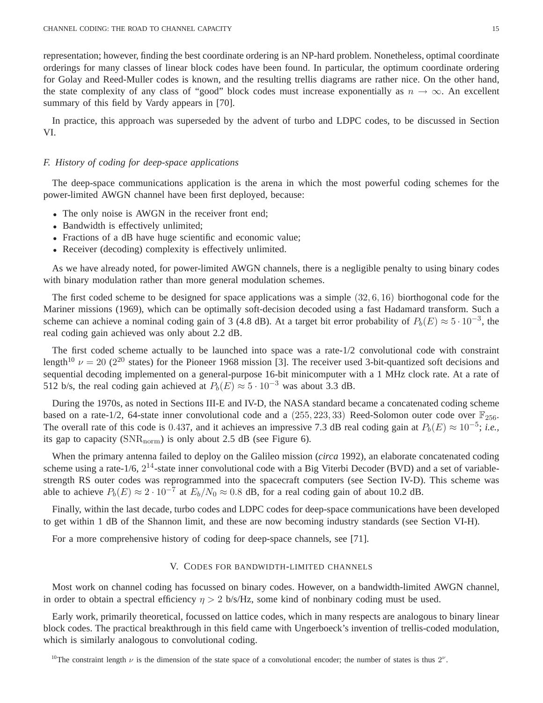representation; however, finding the best coordinate ordering is an NP-hard problem. Nonetheless, optimal coordinate orderings for many classes of linear block codes have been found. In particular, the optimum coordinate ordering for Golay and Reed-Muller codes is known, and the resulting trellis diagrams are rather nice. On the other hand, the state complexity of any class of "good" block codes must increase exponentially as  $n \to \infty$ . An excellent summary of this field by Vardy appears in [70].

In practice, this approach was superseded by the advent of turbo and LDPC codes, to be discussed in Section VI.

## *F. History of coding for deep-space applications*

The deep-space communications application is the arena in which the most powerful coding schemes for the power-limited AWGN channel have been first deployed, because:

- The only noise is AWGN in the receiver front end;
- Bandwidth is effectively unlimited;
- Fractions of a dB have huge scientific and economic value;
- Receiver (decoding) complexity is effectively unlimited.

As we have already noted, for power-limited AWGN channels, there is a negligible penalty to using binary codes with binary modulation rather than more general modulation schemes.

The first coded scheme to be designed for space applications was a simple (32, 6, 16) biorthogonal code for the Mariner missions (1969), which can be optimally soft-decision decoded using a fast Hadamard transform. Such a scheme can achieve a nominal coding gain of 3 (4.8 dB). At a target bit error probability of  $P_b(E) \approx 5 \cdot 10^{-3}$ , the real coding gain achieved was only about 2.2 dB.

The first coded scheme actually to be launched into space was a rate-1/2 convolutional code with constraint length<sup>10</sup>  $\nu = 20$  (2<sup>20</sup> states) for the Pioneer 1968 mission [3]. The receiver used 3-bit-quantized soft decisions and sequential decoding implemented on a general-purpose 16-bit minicomputer with a 1 MHz clock rate. At a rate of 512 b/s, the real coding gain achieved at  $P_b(E) \approx 5 \cdot 10^{-3}$  was about 3.3 dB.

During the 1970s, as noted in Sections III-E and IV-D, the NASA standard became a concatenated coding scheme based on a rate-1/2, 64-state inner convolutional code and a  $(255, 223, 33)$  Reed-Solomon outer code over  $\mathbb{F}_{256}$ . The overall rate of this code is 0.437, and it achieves an impressive 7.3 dB real coding gain at  $P_b(E) \approx 10^{-5}$ ; *i.e.*, its gap to capacity  $(SNR_{norm})$  is only about 2.5 dB (see Figure 6).

When the primary antenna failed to deploy on the Galileo mission (*circa* 1992), an elaborate concatenated coding scheme using a rate-1/6,  $2^{14}$ -state inner convolutional code with a Big Viterbi Decoder (BVD) and a set of variablestrength RS outer codes was reprogrammed into the spacecraft computers (see Section IV-D). This scheme was able to achieve  $P_b(E) \approx 2 \cdot 10^{-7}$  at  $E_b/N_0 \approx 0.8$  dB, for a real coding gain of about 10.2 dB.

Finally, within the last decade, turbo codes and LDPC codes for deep-space communications have been developed to get within 1 dB of the Shannon limit, and these are now becoming industry standards (see Section VI-H).

For a more comprehensive history of coding for deep-space channels, see [71].

# V. CODES FOR BANDWIDTH-LIMITED CHANNELS

Most work on channel coding has focussed on binary codes. However, on a bandwidth-limited AWGN channel, in order to obtain a spectral efficiency  $\eta > 2$  b/s/Hz, some kind of nonbinary coding must be used.

Early work, primarily theoretical, focussed on lattice codes, which in many respects are analogous to binary linear block codes. The practical breakthrough in this field came with Ungerboeck's invention of trellis-coded modulation, which is similarly analogous to convolutional coding.

<sup>&</sup>lt;sup>10</sup>The constraint length  $\nu$  is the dimension of the state space of a convolutional encoder; the number of states is thus  $2^{\nu}$ .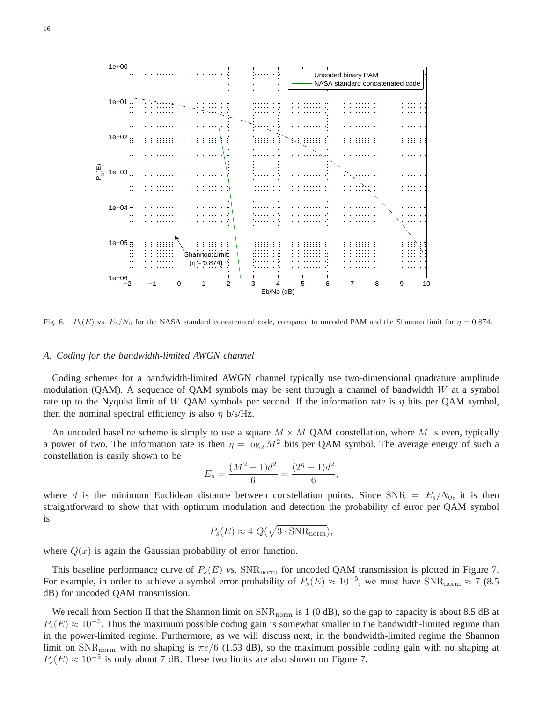

Fig. 6.  $P_b(E)$  vs.  $E_b/N_0$  for the NASA standard concatenated code, compared to uncoded PAM and the Shannon limit for  $\eta = 0.874$ .

# *A. Coding for the bandwidth-limited AWGN channel*

Coding schemes for a bandwidth-limited AWGN channel typically use two-dimensional quadrature amplitude modulation (QAM). A sequence of QAM symbols may be sent through a channel of bandwidth  $W$  at a symbol rate up to the Nyquist limit of W QAM symbols per second. If the information rate is  $\eta$  bits per QAM symbol, then the nominal spectral efficiency is also  $\eta$  b/s/Hz.

An uncoded baseline scheme is simply to use a square  $M \times M$  QAM constellation, where M is even, typically a power of two. The information rate is then  $\eta = \log_2 M^2$  bits per QAM symbol. The average energy of such a constellation is easily shown to be

$$
E_s = \frac{(M^2 - 1)d^2}{6} = \frac{(2^{\eta} - 1)d^2}{6},
$$

where d is the minimum Euclidean distance between constellation points. Since SNR =  $E_s/N_0$ , it is then straightforward to show that with optimum modulation and detection the probability of error per QAM symbol is

$$
P_s(E) \approx 4 \ Q(\sqrt{3 \cdot \text{SNR}_{\text{norm}}}),
$$

where  $Q(x)$  is again the Gaussian probability of error function.

This baseline performance curve of  $P_s(E)$  *vs.* SNR<sub>norm</sub> for uncoded QAM transmission is plotted in Figure 7. For example, in order to achieve a symbol error probability of  $P_s(E) \approx 10^{-5}$ , we must have SNR<sub>norm</sub>  $\approx 7$  (8.5) dB) for uncoded QAM transmission.

We recall from Section II that the Shannon limit on  $SNR_{norm}$  is 1 (0 dB), so the gap to capacity is about 8.5 dB at  $P_s(E) \approx 10^{-5}$ . Thus the maximum possible coding gain is somewhat smaller in the bandwidth-limited regime than in the power-limited regime. Furthermore, as we will discuss next, in the bandwidth-limited regime the Shannon limit on  $SNR_{norm}$  with no shaping is  $\pi e/6$  (1.53 dB), so the maximum possible coding gain with no shaping at  $P_s(E) \approx 10^{-5}$  is only about 7 dB. These two limits are also shown on Figure 7.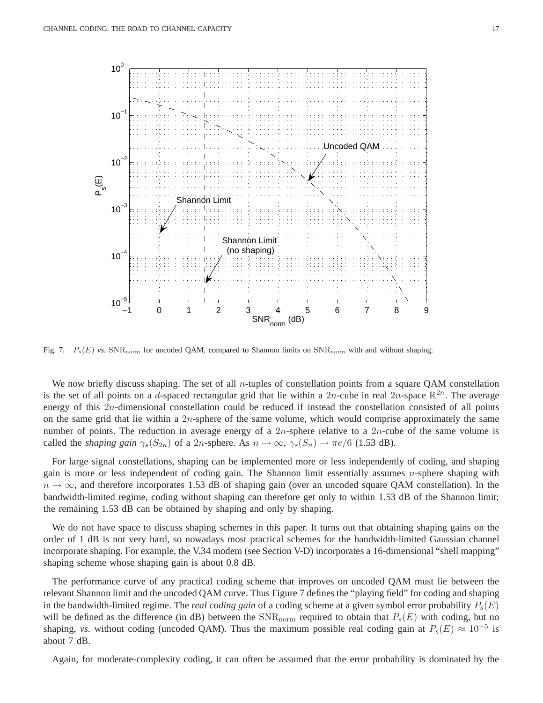

Fig. 7.  $P_s(E)$  *vs.* SNR<sub>norm</sub> for uncoded QAM, compared to Shannon limits on SNR<sub>norm</sub> with and without shaping.

We now briefly discuss shaping. The set of all *n*-tuples of constellation points from a square QAM constellation is the set of all points on a d-spaced rectangular grid that lie within a 2n-cube in real 2n-space  $\mathbb{R}^{2n}$ . The average energy of this  $2n$ -dimensional constellation could be reduced if instead the constellation consisted of all points on the same grid that lie within a 2n-sphere of the same volume, which would comprise approximately the same number of points. The reduction in average energy of a  $2n$ -sphere relative to a  $2n$ -cube of the same volume is called the *shaping gain*  $\gamma_s(S_{2n})$  of a 2n-sphere. As  $n \to \infty$ ,  $\gamma_s(S_n) \to \pi e/6$  (1.53 dB).

For large signal constellations, shaping can be implemented more or less independently of coding, and shaping gain is more or less independent of coding gain. The Shannon limit essentially assumes  $n$ -sphere shaping with  $n \to \infty$ , and therefore incorporates 1.53 dB of shaping gain (over an uncoded square QAM constellation). In the bandwidth-limited regime, coding without shaping can therefore get only to within 1.53 dB of the Shannon limit; the remaining 1.53 dB can be obtained by shaping and only by shaping.

We do not have space to discuss shaping schemes in this paper. It turns out that obtaining shaping gains on the order of 1 dB is not very hard, so nowadays most practical schemes for the bandwidth-limited Gaussian channel incorporate shaping. For example, the V.34 modem (see Section V-D) incorporates a 16-dimensional "shell mapping" shaping scheme whose shaping gain is about 0.8 dB.

The performance curve of any practical coding scheme that improves on uncoded QAM must lie between the relevant Shannon limit and the uncoded QAM curve. Thus Figure 7 defines the "playing field" for coding and shaping in the bandwidth-limited regime. The *real coding gain* of a coding scheme at a given symbol error probability  $P_s(E)$ will be defined as the difference (in dB) between the  $SNR_{norm}$  required to obtain that  $P_s(E)$  with coding, but no shaping, *vs.* without coding (uncoded QAM). Thus the maximum possible real coding gain at  $P_s(E) \approx 10^{-5}$  is about 7 dB.

Again, for moderate-complexity coding, it can often be assumed that the error probability is dominated by the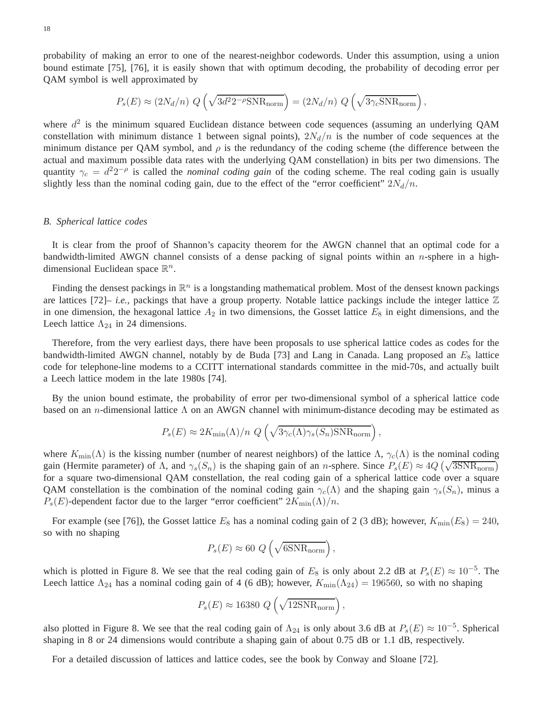probability of making an error to one of the nearest-neighbor codewords. Under this assumption, using a union bound estimate [75], [76], it is easily shown that with optimum decoding, the probability of decoding error per QAM symbol is well approximated by

$$
P_s(E) \approx (2N_d/n) Q\left(\sqrt{3d^2 2^{-\rho} \text{SNR}_{\text{norm}}}\right) = (2N_d/n) Q\left(\sqrt{3\gamma_c \text{SNR}_{\text{norm}}}\right),
$$

where  $d^2$  is the minimum squared Euclidean distance between code sequences (assuming an underlying QAM constellation with minimum distance 1 between signal points),  $2N_d/n$  is the number of code sequences at the minimum distance per QAM symbol, and  $\rho$  is the redundancy of the coding scheme (the difference between the actual and maximum possible data rates with the underlying QAM constellation) in bits per two dimensions. The quantity  $\gamma_c = d^2 2^{-\rho}$  is called the *nominal coding gain* of the coding scheme. The real coding gain is usually slightly less than the nominal coding gain, due to the effect of the "error coefficient"  $2N_d/n$ .

## *B. Spherical lattice codes*

It is clear from the proof of Shannon's capacity theorem for the AWGN channel that an optimal code for a bandwidth-limited AWGN channel consists of a dense packing of signal points within an  $n$ -sphere in a highdimensional Euclidean space  $\mathbb{R}^n$ .

Finding the densest packings in  $\mathbb{R}^n$  is a longstanding mathematical problem. Most of the densest known packings are lattices  $[72]$ – *i.e.*, packings that have a group property. Notable lattice packings include the integer lattice  $\mathbb{Z}$ in one dimension, the hexagonal lattice  $A_2$  in two dimensions, the Gosset lattice  $E_8$  in eight dimensions, and the Leech lattice  $\Lambda_{24}$  in 24 dimensions.

Therefore, from the very earliest days, there have been proposals to use spherical lattice codes as codes for the bandwidth-limited AWGN channel, notably by de Buda [73] and Lang in Canada. Lang proposed an  $E_8$  lattice code for telephone-line modems to a CCITT international standards committee in the mid-70s, and actually built a Leech lattice modem in the late 1980s [74].

By the union bound estimate, the probability of error per two-dimensional symbol of a spherical lattice code based on an *n*-dimensional lattice  $\Lambda$  on an AWGN channel with minimum-distance decoding may be estimated as

$$
P_s(E) \approx 2K_{\min}(\Lambda)/n \ Q\left(\sqrt{3\gamma_c(\Lambda)\gamma_s(S_n)\text{SNR}_{\text{norm}}}\right),
$$

where  $K_{\text{min}}(\Lambda)$  is the kissing number (number of nearest neighbors) of the lattice  $\Lambda$ ,  $\gamma_c(\Lambda)$  is the nominal coding gain (Hermite parameter) of  $\Lambda$ , and  $\gamma_s(S_n)$  is the shaping gain of an n-sphere. Since  $P_s(E) \approx 4Q \left(\sqrt{3SNR_{\text{norm}}}\right)$ for a square two-dimensional QAM constellation, the real coding gain of a spherical lattice code over a square QAM constellation is the combination of the nominal coding gain  $\gamma_c(\Lambda)$  and the shaping gain  $\gamma_s(S_n)$ , minus a  $P_s(E)$ -dependent factor due to the larger "error coefficient"  $2K_{\min}(\Lambda)/n$ .

For example (see [76]), the Gosset lattice  $E_8$  has a nominal coding gain of 2 (3 dB); however,  $K_{\text{min}}(E_8) = 240$ , so with no shaping

$$
P_s(E) \approx 60 \ Q \left(\sqrt{6 \text{SNR}_{\text{norm}}}\right),
$$

which is plotted in Figure 8. We see that the real coding gain of  $E_8$  is only about 2.2 dB at  $P_s(E) \approx 10^{-5}$ . The Leech lattice  $\Lambda_{24}$  has a nominal coding gain of 4 (6 dB); however,  $K_{\min}(\Lambda_{24}) = 196560$ , so with no shaping

$$
P_s(E) \approx 16380 \ Q \left(\sqrt{12 \text{SNR}_{\text{norm}}}\right),
$$

also plotted in Figure 8. We see that the real coding gain of  $\Lambda_{24}$  is only about 3.6 dB at  $P_s(E) \approx 10^{-5}$ . Spherical shaping in 8 or 24 dimensions would contribute a shaping gain of about 0.75 dB or 1.1 dB, respectively.

For a detailed discussion of lattices and lattice codes, see the book by Conway and Sloane [72].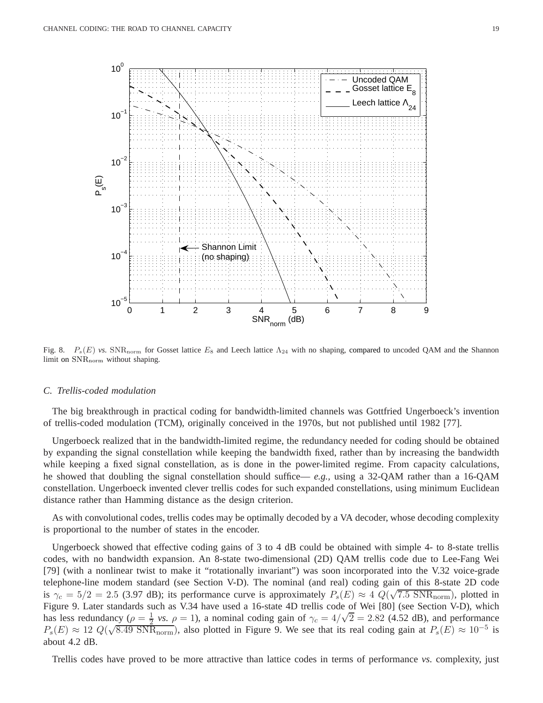

Fig. 8.  $P_s(E)$  *vs.* SNR<sub>norm</sub> for Gosset lattice  $E_8$  and Leech lattice  $\Lambda_{24}$  with no shaping, compared to uncoded QAM and the Shannon limit on SNR<sub>norm</sub> without shaping.

#### *C. Trellis-coded modulation*

The big breakthrough in practical coding for bandwidth-limited channels was Gottfried Ungerboeck's invention of trellis-coded modulation (TCM), originally conceived in the 1970s, but not published until 1982 [77].

Ungerboeck realized that in the bandwidth-limited regime, the redundancy needed for coding should be obtained by expanding the signal constellation while keeping the bandwidth fixed, rather than by increasing the bandwidth while keeping a fixed signal constellation, as is done in the power-limited regime. From capacity calculations, he showed that doubling the signal constellation should suffice— *e.g.,* using a 32-QAM rather than a 16-QAM constellation. Ungerboeck invented clever trellis codes for such expanded constellations, using minimum Euclidean distance rather than Hamming distance as the design criterion.

As with convolutional codes, trellis codes may be optimally decoded by a VA decoder, whose decoding complexity is proportional to the number of states in the encoder.

Ungerboeck showed that effective coding gains of 3 to 4 dB could be obtained with simple 4- to 8-state trellis codes, with no bandwidth expansion. An 8-state two-dimensional (2D) QAM trellis code due to Lee-Fang Wei [79] (with a nonlinear twist to make it "rotationally invariant") was soon incorporated into the V.32 voice-grade telephone-line modem standard (see Section V-D). The nominal (and real) coding gain of this 8-state 2D code is  $\gamma_c = 5/2 = 2.5$  (3.97 dB); its performance curve is approximately  $P_s(E) \approx 4 Q(\sqrt{7.5 \text{ SNR}_{\text{norm}}})$ , plotted in Figure 9. Later standards such as V.34 have used a 16-state 4D trellis code of Wei [80] (see Section V-D), which has less redundancy ( $\rho = \frac{1}{2}$  vs.  $\rho = 1$ ), a nominal coding gain of  $\gamma_c = 4/\sqrt{2} = 2.82$  (4.52 dB), and performance  $P_s(E) \approx 12 \ Q(\sqrt{8.49 \text{ SNR}_{\text{norm}}})$ , also plotted in Figure 9. We see that its real coding gain at  $P_s(E) \approx 10^{-5}$  is about 4.2 dB.

Trellis codes have proved to be more attractive than lattice codes in terms of performance *vs.* complexity, just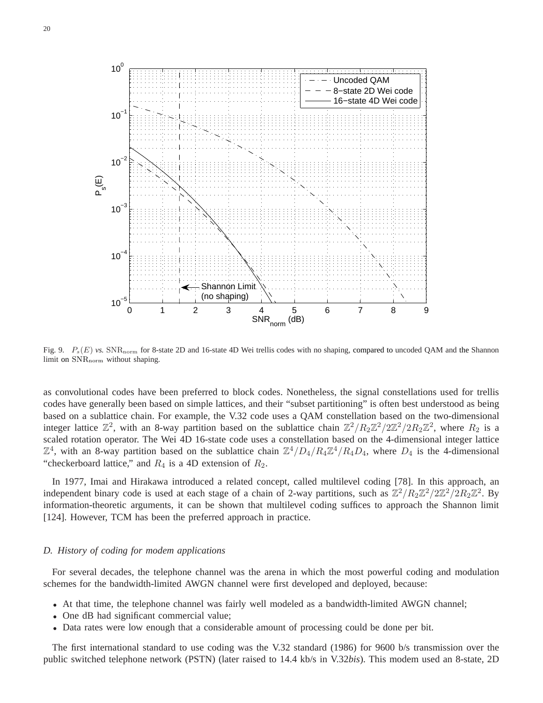

Fig. 9.  $P_s(E)$  *vs.* SNR<sub>norm</sub> for 8-state 2D and 16-state 4D Wei trellis codes with no shaping, compared to uncoded QAM and the Shannon limit on SNR<sub>norm</sub> without shaping.

as convolutional codes have been preferred to block codes. Nonetheless, the signal constellations used for trellis codes have generally been based on simple lattices, and their "subset partitioning" is often best understood as being based on a sublattice chain. For example, the V.32 code uses a QAM constellation based on the two-dimensional integer lattice  $\mathbb{Z}^2$ , with an 8-way partition based on the sublattice chain  $\mathbb{Z}^2/R_2\mathbb{Z}^2/2\mathbb{Z}^2/2R_2\mathbb{Z}^2$ , where  $R_2$  is a scaled rotation operator. The Wei 4D 16-state code uses a constellation based on the 4-dimensional integer lattice  $\mathbb{Z}^4$ , with an 8-way partition based on the sublattice chain  $\mathbb{Z}^4/D_4/R_4\mathbb{Z}^4/R_4D_4$ , where  $D_4$  is the 4-dimensional "checkerboard lattice," and  $R_4$  is a 4D extension of  $R_2$ .

In 1977, Imai and Hirakawa introduced a related concept, called multilevel coding [78]. In this approach, an independent binary code is used at each stage of a chain of 2-way partitions, such as  $\mathbb{Z}^2/R_2\mathbb{Z}^2/2\mathbb{Z}^2/2R_2\mathbb{Z}^2$ . By information-theoretic arguments, it can be shown that multilevel coding suffices to approach the Shannon limit [124]. However, TCM has been the preferred approach in practice.

## *D. History of coding for modem applications*

For several decades, the telephone channel was the arena in which the most powerful coding and modulation schemes for the bandwidth-limited AWGN channel were first developed and deployed, because:

- At that time, the telephone channel was fairly well modeled as a bandwidth-limited AWGN channel;
- One dB had significant commercial value;
- Data rates were low enough that a considerable amount of processing could be done per bit.

The first international standard to use coding was the V.32 standard (1986) for 9600 b/s transmission over the public switched telephone network (PSTN) (later raised to 14.4 kb/s in V.32*bis*). This modem used an 8-state, 2D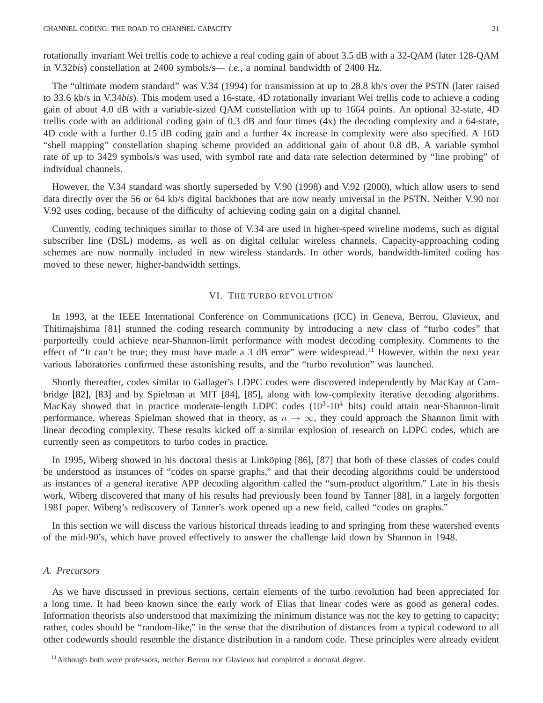The "ultimate modem standard" was V.34 (1994) for transmission at up to 28.8 kb/s over the PSTN (later raised to 33.6 kb/s in V.34*bis*). This modem used a 16-state, 4D rotationally invariant Wei trellis code to achieve a coding gain of about 4.0 dB with a variable-sized QAM constellation with up to 1664 points. An optional 32-state, 4D trellis code with an additional coding gain of 0.3 dB and four times (4x) the decoding complexity and a 64-state, 4D code with a further 0.15 dB coding gain and a further 4x increase in complexity were also specified. A 16D "shell mapping" constellation shaping scheme provided an additional gain of about 0.8 dB. A variable symbol rate of up to 3429 symbols/s was used, with symbol rate and data rate selection determined by "line probing" of individual channels.

However, the V.34 standard was shortly superseded by V.90 (1998) and V.92 (2000), which allow users to send data directly over the 56 or 64 kb/s digital backbones that are now nearly universal in the PSTN. Neither V.90 nor V.92 uses coding, because of the difficulty of achieving coding gain on a digital channel.

Currently, coding techniques similar to those of V.34 are used in higher-speed wireline modems, such as digital subscriber line (DSL) modems, as well as on digital cellular wireless channels. Capacity-approaching coding schemes are now normally included in new wireless standards. In other words, bandwidth-limited coding has moved to these newer, higher-bandwidth settings.

## VI. THE TURBO REVOLUTION

In 1993, at the IEEE International Conference on Communications (ICC) in Geneva, Berrou, Glavieux, and Thitimajshima [81] stunned the coding research community by introducing a new class of "turbo codes" that purportedly could achieve near-Shannon-limit performance with modest decoding complexity. Comments to the effect of "It can't be true; they must have made a 3 dB error" were widespread.<sup>11</sup> However, within the next year various laboratories confirmed these astonishing results, and the "turbo revolution" was launched.

Shortly thereafter, codes similar to Gallager's LDPC codes were discovered independently by MacKay at Cambridge [82], [83] and by Spielman at MIT [84], [85], along with low-complexity iterative decoding algorithms. MacKay showed that in practice moderate-length LDPC codes  $(10^3\t{-}10^4)$  bits) could attain near-Shannon-limit performance, whereas Spielman showed that in theory, as  $n \to \infty$ , they could approach the Shannon limit with linear decoding complexity. These results kicked off a similar explosion of research on LDPC codes, which are currently seen as competitors to turbo codes in practice.

In 1995, Wiberg showed in his doctoral thesis at Linköping [86], [87] that both of these classes of codes could be understood as instances of "codes on sparse graphs," and that their decoding algorithms could be understood as instances of a general iterative APP decoding algorithm called the "sum-product algorithm." Late in his thesis work, Wiberg discovered that many of his results had previously been found by Tanner [88], in a largely forgotten 1981 paper. Wiberg's rediscovery of Tanner's work opened up a new field, called "codes on graphs."

In this section we will discuss the various historical threads leading to and springing from these watershed events of the mid-90's, which have proved effectively to answer the challenge laid down by Shannon in 1948.

# *A. Precursors*

As we have discussed in previous sections, certain elements of the turbo revolution had been appreciated for a long time. It had been known since the early work of Elias that linear codes were as good as general codes. Information theorists also understood that maximizing the minimum distance was not the key to getting to capacity; rather, codes should be "random-like," in the sense that the distribution of distances from a typical codeword to all other codewords should resemble the distance distribution in a random code. These principles were already evident

<sup>&</sup>lt;sup>11</sup> Although both were professors, neither Berrou nor Glavieux had completed a doctoral degree.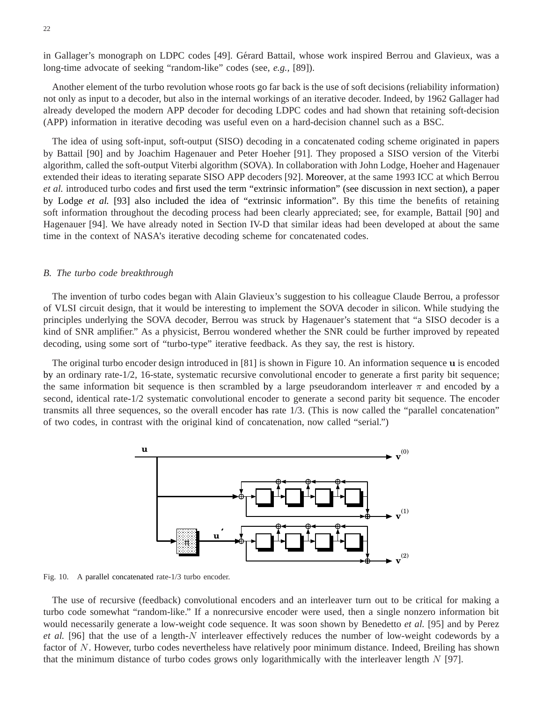in Gallager's monograph on LDPC codes [49]. Gérard Battail, whose work inspired Berrou and Glavieux, was a long-time advocate of seeking "random-like" codes (see, *e.g.,* [89]).

Another element of the turbo revolution whose roots go far back is the use of soft decisions (reliability information) not only as input to a decoder, but also in the internal workings of an iterative decoder. Indeed, by 1962 Gallager had already developed the modern APP decoder for decoding LDPC codes and had shown that retaining soft-decision (APP) information in iterative decoding was useful even on a hard-decision channel such as a BSC.

The idea of using soft-input, soft-output (SISO) decoding in a concatenated coding scheme originated in papers by Battail [90] and by Joachim Hagenauer and Peter Hoeher [91]. They proposed a SISO version of the Viterbi algorithm, called the soft-output Viterbi algorithm (SOVA). In collaboration with John Lodge, Hoeher and Hagenauer extended their ideas to iterating separate SISO APP decoders [92]. Moreover, at the same 1993 ICC at which Berrou *et al.* introduced turbo codes and first used the term "extrinsic information" (see discussion in next section), a paper by Lodge *et al.* [93] also included the idea of "extrinsic information". By this time the benefits of retaining soft information throughout the decoding process had been clearly appreciated; see, for example, Battail [90] and Hagenauer [94]. We have already noted in Section IV-D that similar ideas had been developed at about the same time in the context of NASA's iterative decoding scheme for concatenated codes.

# *B. The turbo code breakthrough*

The invention of turbo codes began with Alain Glavieux's suggestion to his colleague Claude Berrou, a professor of VLSI circuit design, that it would be interesting to implement the SOVA decoder in silicon. While studying the principles underlying the SOVA decoder, Berrou was struck by Hagenauer's statement that "a SISO decoder is a kind of SNR amplifier." As a physicist, Berrou wondered whether the SNR could be further improved by repeated decoding, using some sort of "turbo-type" iterative feedback. As they say, the rest is history.

The original turbo encoder design introduced in [81] is shown in Figure 10. An information sequence **u** is encoded by an ordinary rate-1/2, 16-state, systematic recursive convolutional encoder to generate a first parity bit sequence; the same information bit sequence is then scrambled by a large pseudorandom interleaver  $\pi$  and encoded by a second, identical rate-1/2 systematic convolutional encoder to generate a second parity bit sequence. The encoder transmits all three sequences, so the overall encoder has rate 1/3. (This is now called the "parallel concatenation" of two codes, in contrast with the original kind of concatenation, now called "serial.")



Fig. 10. A parallel concatenated rate-1/3 turbo encoder.

The use of recursive (feedback) convolutional encoders and an interleaver turn out to be critical for making a turbo code somewhat "random-like." If a nonrecursive encoder were used, then a single nonzero information bit would necessarily generate a low-weight code sequence. It was soon shown by Benedetto *et al.* [95] and by Perez *et al.* [96] that the use of a length-N interleaver effectively reduces the number of low-weight codewords by a factor of N. However, turbo codes nevertheless have relatively poor minimum distance. Indeed, Breiling has shown that the minimum distance of turbo codes grows only logarithmically with the interleaver length  $N$  [97].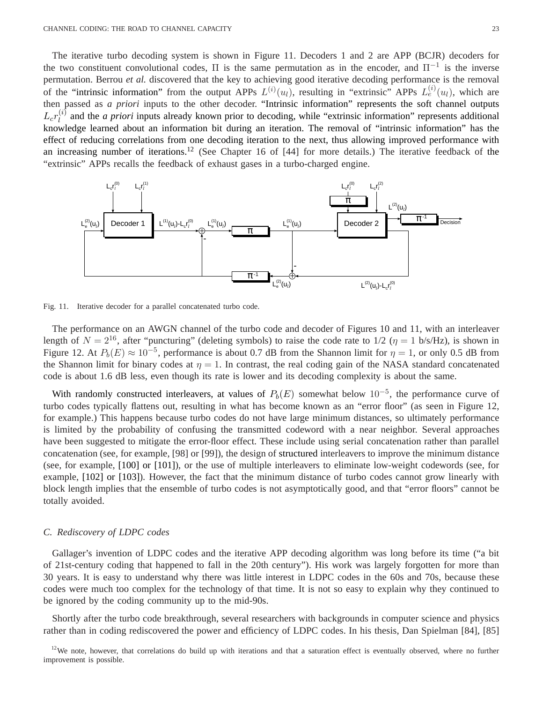The iterative turbo decoding system is shown in Figure 11. Decoders 1 and 2 are APP (BCJR) decoders for the two constituent convolutional codes,  $\Pi$  is the same permutation as in the encoder, and  $\Pi^{-1}$  is the inverse permutation. Berrou *et al.* discovered that the key to achieving good iterative decoding performance is the removal of the "intrinsic information" from the output APPs  $L^{(i)}(u_l)$ , resulting in "extrinsic" APPs  $L^{(i)}_e(u_l)$ , which are then passed as *a priori* inputs to the other decoder. "Intrinsic information" represents the soft channel outputs  $L_c r_l^{(i)}$  $\ell$ <sup>(i)</sup> and the *a priori* inputs already known prior to decoding, while "extrinsic information" represents additional knowledge learned about an information bit during an iteration. The removal of "intrinsic information" has the effect of reducing correlations from one decoding iteration to the next, thus allowing improved performance with an increasing number of iterations.<sup>12</sup> (See Chapter 16 of [44] for more details.) The iterative feedback of the "extrinsic" APPs recalls the feedback of exhaust gases in a turbo-charged engine.



Fig. 11. Iterative decoder for a parallel concatenated turbo code.

The performance on an AWGN channel of the turbo code and decoder of Figures 10 and 11, with an interleaver length of  $N = 2^{16}$ , after "puncturing" (deleting symbols) to raise the code rate to 1/2 ( $\eta = 1$  b/s/Hz), is shown in Figure 12. At  $P_b(E) \approx 10^{-5}$ , performance is about 0.7 dB from the Shannon limit for  $\eta = 1$ , or only 0.5 dB from the Shannon limit for binary codes at  $\eta = 1$ . In contrast, the real coding gain of the NASA standard concatenated code is about 1.6 dB less, even though its rate is lower and its decoding complexity is about the same.

With randomly constructed interleavers, at values of  $P_b(E)$  somewhat below  $10^{-5}$ , the performance curve of turbo codes typically flattens out, resulting in what has become known as an "error floor" (as seen in Figure 12, for example.) This happens because turbo codes do not have large minimum distances, so ultimately performance is limited by the probability of confusing the transmitted codeword with a near neighbor. Several approaches have been suggested to mitigate the error-floor effect. These include using serial concatenation rather than parallel concatenation (see, for example, [98] or [99]), the design of structured interleavers to improve the minimum distance (see, for example, [100] or [101]), or the use of multiple interleavers to eliminate low-weight codewords (see, for example, [102] or [103]). However, the fact that the minimum distance of turbo codes cannot grow linearly with block length implies that the ensemble of turbo codes is not asymptotically good, and that "error floors" cannot be totally avoided.

## *C. Rediscovery of LDPC codes*

Gallager's invention of LDPC codes and the iterative APP decoding algorithm was long before its time ("a bit of 21st-century coding that happened to fall in the 20th century"). His work was largely forgotten for more than 30 years. It is easy to understand why there was little interest in LDPC codes in the 60s and 70s, because these codes were much too complex for the technology of that time. It is not so easy to explain why they continued to be ignored by the coding community up to the mid-90s.

Shortly after the turbo code breakthrough, several researchers with backgrounds in computer science and physics rather than in coding rediscovered the power and efficiency of LDPC codes. In his thesis, Dan Spielman [84], [85]

 $12$ We note, however, that correlations do build up with iterations and that a saturation effect is eventually observed, where no further improvement is possible.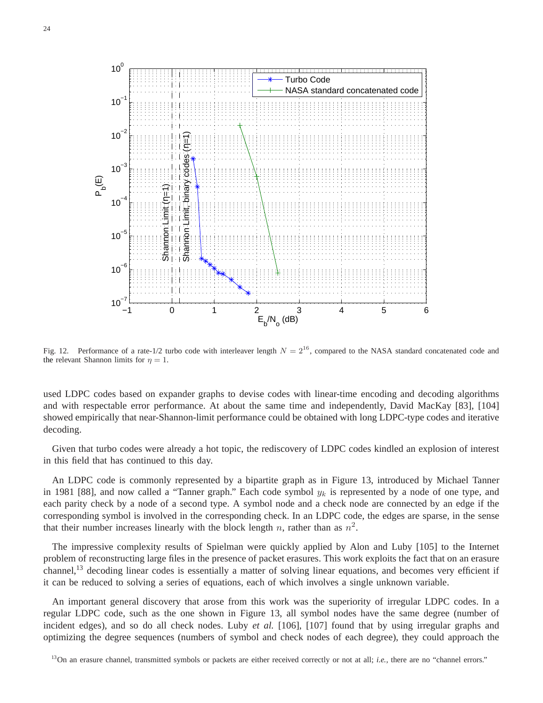

Fig. 12. Performance of a rate-1/2 turbo code with interleaver length  $N = 2^{16}$ , compared to the NASA standard concatenated code and the relevant Shannon limits for  $\eta = 1$ .

used LDPC codes based on expander graphs to devise codes with linear-time encoding and decoding algorithms and with respectable error performance. At about the same time and independently, David MacKay [83], [104] showed empirically that near-Shannon-limit performance could be obtained with long LDPC-type codes and iterative decoding.

Given that turbo codes were already a hot topic, the rediscovery of LDPC codes kindled an explosion of interest in this field that has continued to this day.

An LDPC code is commonly represented by a bipartite graph as in Figure 13, introduced by Michael Tanner in 1981 [88], and now called a "Tanner graph." Each code symbol  $y_k$  is represented by a node of one type, and each parity check by a node of a second type. A symbol node and a check node are connected by an edge if the corresponding symbol is involved in the corresponding check. In an LDPC code, the edges are sparse, in the sense that their number increases linearly with the block length n, rather than as  $n^2$ .

The impressive complexity results of Spielman were quickly applied by Alon and Luby [105] to the Internet problem of reconstructing large files in the presence of packet erasures. This work exploits the fact that on an erasure channel,<sup>13</sup> decoding linear codes is essentially a matter of solving linear equations, and becomes very efficient if it can be reduced to solving a series of equations, each of which involves a single unknown variable.

An important general discovery that arose from this work was the superiority of irregular LDPC codes. In a regular LDPC code, such as the one shown in Figure 13, all symbol nodes have the same degree (number of incident edges), and so do all check nodes. Luby *et al.* [106], [107] found that by using irregular graphs and optimizing the degree sequences (numbers of symbol and check nodes of each degree), they could approach the

<sup>&</sup>lt;sup>13</sup>On an erasure channel, transmitted symbols or packets are either received correctly or not at all; *i.e.*, there are no "channel errors."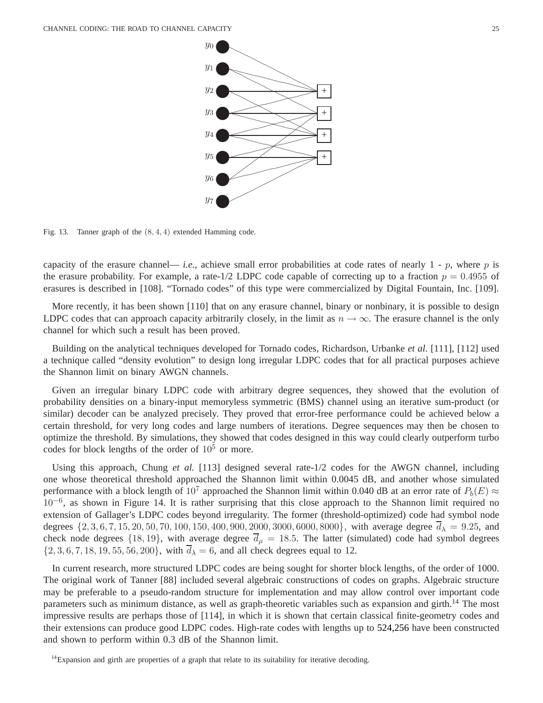

Fig. 13. Tanner graph of the (8, 4, 4) extended Hamming code.

capacity of the erasure channel— *i.e.*, achieve small error probabilities at code rates of nearly  $1 - p$ , where p is the erasure probability. For example, a rate-1/2 LDPC code capable of correcting up to a fraction  $p = 0.4955$  of erasures is described in [108]. "Tornado codes" of this type were commercialized by Digital Fountain, Inc. [109].

More recently, it has been shown [110] that on any erasure channel, binary or nonbinary, it is possible to design LDPC codes that can approach capacity arbitrarily closely, in the limit as  $n \to \infty$ . The erasure channel is the only channel for which such a result has been proved.

Building on the analytical techniques developed for Tornado codes, Richardson, Urbanke *et al.* [111], [112] used a technique called "density evolution" to design long irregular LDPC codes that for all practical purposes achieve the Shannon limit on binary AWGN channels.

Given an irregular binary LDPC code with arbitrary degree sequences, they showed that the evolution of probability densities on a binary-input memoryless symmetric (BMS) channel using an iterative sum-product (or similar) decoder can be analyzed precisely. They proved that error-free performance could be achieved below a certain threshold, for very long codes and large numbers of iterations. Degree sequences may then be chosen to optimize the threshold. By simulations, they showed that codes designed in this way could clearly outperform turbo codes for block lengths of the order of  $10^5$  or more.

Using this approach, Chung *et al.* [113] designed several rate-1/2 codes for the AWGN channel, including one whose theoretical threshold approached the Shannon limit within 0.0045 dB, and another whose simulated performance with a block length of 10<sup>7</sup> approached the Shannon limit within 0.040 dB at an error rate of  $P_b(E) \approx$ 10<sup>-6</sup>, as shown in Figure 14. It is rather surprising that this close approach to the Shannon limit required no extension of Gallager's LDPC codes beyond irregularity. The former (threshold-optimized) code had symbol node degrees  $\{2, 3, 6, 7, 15, 20, 50, 70, 100, 150, 400, 900, 2000, 3000, 6000, 8000\}$ , with average degree  $\overline{d}_\lambda = 9.25$ , and check node degrees  $\{18, 19\}$ , with average degree  $\overline{d}_{\rho} = 18.5$ . The latter (simulated) code had symbol degrees  $\{2, 3, 6, 7, 18, 19, 55, 56, 200\}$ , with  $\overline{d}_{\lambda} = 6$ , and all check degrees equal to 12.

In current research, more structured LDPC codes are being sought for shorter block lengths, of the order of 1000. The original work of Tanner [88] included several algebraic constructions of codes on graphs. Algebraic structure may be preferable to a pseudo-random structure for implementation and may allow control over important code parameters such as minimum distance, as well as graph-theoretic variables such as expansion and girth.<sup>14</sup> The most impressive results are perhaps those of [114], in which it is shown that certain classical finite-geometry codes and their extensions can produce good LDPC codes. High-rate codes with lengths up to 524,256 have been constructed and shown to perform within 0.3 dB of the Shannon limit.

<sup>&</sup>lt;sup>14</sup>Expansion and girth are properties of a graph that relate to its suitability for iterative decoding.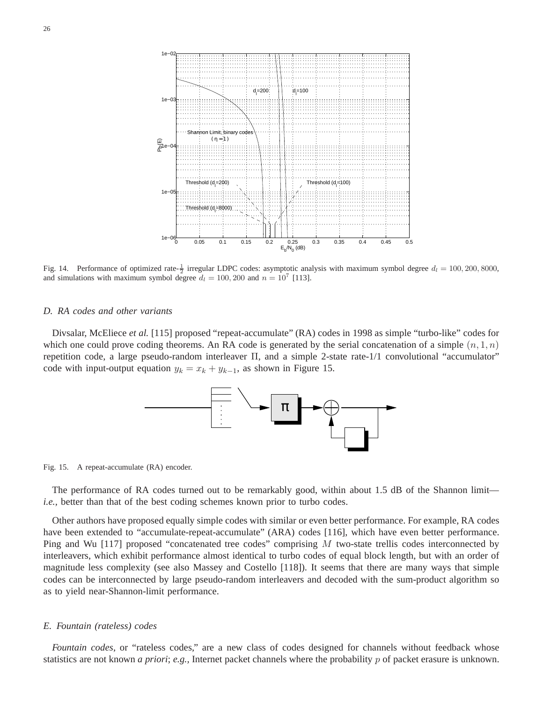



Fig. 14. Performance of optimized rate- $\frac{1}{2}$  irregular LDPC codes: asymptotic analysis with maximum symbol degree  $d_l = 100, 200, 8000$ , and simulations with maximum symbol degree  $d_l = 100, 200$  and  $n = 10^7$  [113].

## *D. RA codes and other variants*

Divsalar, McEliece *et al.* [115] proposed "repeat-accumulate" (RA) codes in 1998 as simple "turbo-like" codes for which one could prove coding theorems. An RA code is generated by the serial concatenation of a simple  $(n, 1, n)$ repetition code, a large pseudo-random interleaver Π, and a simple 2-state rate-1/1 convolutional "accumulator" code with input-output equation  $y_k = x_k + y_{k-1}$ , as shown in Figure 15.



Fig. 15. A repeat-accumulate (RA) encoder.

The performance of RA codes turned out to be remarkably good, within about 1.5 dB of the Shannon limit *i.e.,* better than that of the best coding schemes known prior to turbo codes.

Other authors have proposed equally simple codes with similar or even better performance. For example, RA codes have been extended to "accumulate-repeat-accumulate" (ARA) codes [116], which have even better performance. Ping and Wu [117] proposed "concatenated tree codes" comprising M two-state trellis codes interconnected by interleavers, which exhibit performance almost identical to turbo codes of equal block length, but with an order of magnitude less complexity (see also Massey and Costello [118]). It seems that there are many ways that simple codes can be interconnected by large pseudo-random interleavers and decoded with the sum-product algorithm so as to yield near-Shannon-limit performance.

#### *E. Fountain (rateless) codes*

*Fountain codes*, or "rateless codes," are a new class of codes designed for channels without feedback whose statistics are not known *a priori*; *e.g.,* Internet packet channels where the probability p of packet erasure is unknown.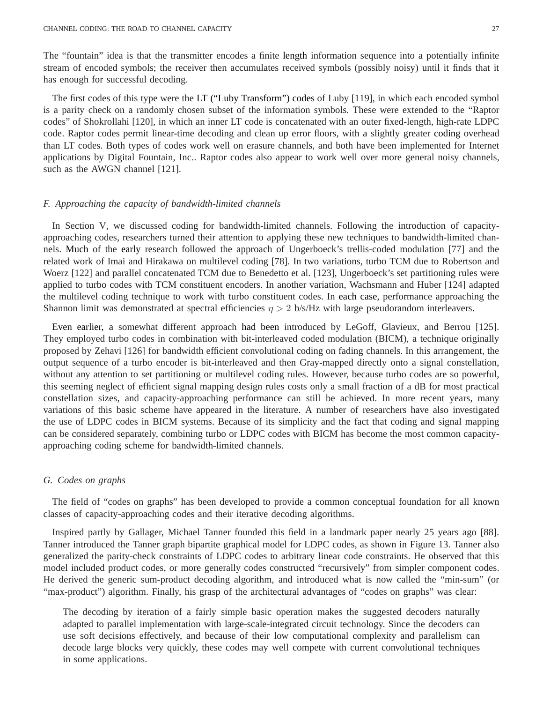The "fountain" idea is that the transmitter encodes a finite length information sequence into a potentially infinite stream of encoded symbols; the receiver then accumulates received symbols (possibly noisy) until it finds that it has enough for successful decoding.

The first codes of this type were the LT ("Luby Transform") codes of Luby [119], in which each encoded symbol is a parity check on a randomly chosen subset of the information symbols. These were extended to the "Raptor codes" of Shokrollahi [120], in which an inner LT code is concatenated with an outer fixed-length, high-rate LDPC code. Raptor codes permit linear-time decoding and clean up error floors, with a slightly greater coding overhead than LT codes. Both types of codes work well on erasure channels, and both have been implemented for Internet applications by Digital Fountain, Inc.. Raptor codes also appear to work well over more general noisy channels, such as the AWGN channel [121].

## *F. Approaching the capacity of bandwidth-limited channels*

In Section V, we discussed coding for bandwidth-limited channels. Following the introduction of capacityapproaching codes, researchers turned their attention to applying these new techniques to bandwidth-limited channels. Much of the early research followed the approach of Ungerboeck's trellis-coded modulation [77] and the related work of Imai and Hirakawa on multilevel coding [78]. In two variations, turbo TCM due to Robertson and Woerz [122] and parallel concatenated TCM due to Benedetto et al. [123], Ungerboeck's set partitioning rules were applied to turbo codes with TCM constituent encoders. In another variation, Wachsmann and Huber [124] adapted the multilevel coding technique to work with turbo constituent codes. In each case, performance approaching the Shannon limit was demonstrated at spectral efficiencies  $\eta > 2$  b/s/Hz with large pseudorandom interleavers.

Even earlier, a somewhat different approach had been introduced by LeGoff, Glavieux, and Berrou [125]. They employed turbo codes in combination with bit-interleaved coded modulation (BICM), a technique originally proposed by Zehavi [126] for bandwidth efficient convolutional coding on fading channels. In this arrangement, the output sequence of a turbo encoder is bit-interleaved and then Gray-mapped directly onto a signal constellation, without any attention to set partitioning or multilevel coding rules. However, because turbo codes are so powerful, this seeming neglect of efficient signal mapping design rules costs only a small fraction of a dB for most practical constellation sizes, and capacity-approaching performance can still be achieved. In more recent years, many variations of this basic scheme have appeared in the literature. A number of researchers have also investigated the use of LDPC codes in BICM systems. Because of its simplicity and the fact that coding and signal mapping can be considered separately, combining turbo or LDPC codes with BICM has become the most common capacityapproaching coding scheme for bandwidth-limited channels.

## *G. Codes on graphs*

The field of "codes on graphs" has been developed to provide a common conceptual foundation for all known classes of capacity-approaching codes and their iterative decoding algorithms.

Inspired partly by Gallager, Michael Tanner founded this field in a landmark paper nearly 25 years ago [88]. Tanner introduced the Tanner graph bipartite graphical model for LDPC codes, as shown in Figure 13. Tanner also generalized the parity-check constraints of LDPC codes to arbitrary linear code constraints. He observed that this model included product codes, or more generally codes constructed "recursively" from simpler component codes. He derived the generic sum-product decoding algorithm, and introduced what is now called the "min-sum" (or "max-product") algorithm. Finally, his grasp of the architectural advantages of "codes on graphs" was clear:

The decoding by iteration of a fairly simple basic operation makes the suggested decoders naturally adapted to parallel implementation with large-scale-integrated circuit technology. Since the decoders can use soft decisions effectively, and because of their low computational complexity and parallelism can decode large blocks very quickly, these codes may well compete with current convolutional techniques in some applications.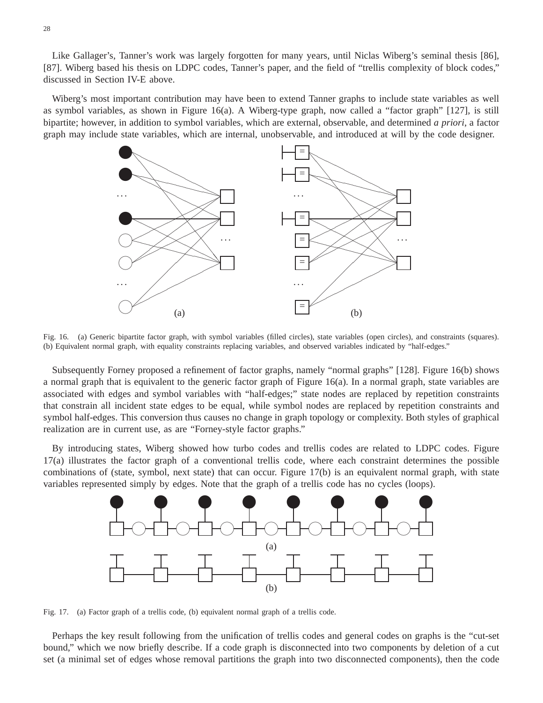Like Gallager's, Tanner's work was largely forgotten for many years, until Niclas Wiberg's seminal thesis [86], [87]. Wiberg based his thesis on LDPC codes, Tanner's paper, and the field of "trellis complexity of block codes," discussed in Section IV-E above.

Wiberg's most important contribution may have been to extend Tanner graphs to include state variables as well as symbol variables, as shown in Figure 16(a). A Wiberg-type graph, now called a "factor graph" [127], is still bipartite; however, in addition to symbol variables, which are external, observable, and determined *a priori*, a factor graph may include state variables, which are internal, unobservable, and introduced at will by the code designer.



Fig. 16. (a) Generic bipartite factor graph, with symbol variables (filled circles), state variables (open circles), and constraints (squares). (b) Equivalent normal graph, with equality constraints replacing variables, and observed variables indicated by "half-edges."

Subsequently Forney proposed a refinement of factor graphs, namely "normal graphs" [128]. Figure 16(b) shows a normal graph that is equivalent to the generic factor graph of Figure 16(a). In a normal graph, state variables are associated with edges and symbol variables with "half-edges;" state nodes are replaced by repetition constraints that constrain all incident state edges to be equal, while symbol nodes are replaced by repetition constraints and symbol half-edges. This conversion thus causes no change in graph topology or complexity. Both styles of graphical realization are in current use, as are "Forney-style factor graphs."

By introducing states, Wiberg showed how turbo codes and trellis codes are related to LDPC codes. Figure 17(a) illustrates the factor graph of a conventional trellis code, where each constraint determines the possible combinations of (state, symbol, next state) that can occur. Figure 17(b) is an equivalent normal graph, with state variables represented simply by edges. Note that the graph of a trellis code has no cycles (loops).



Fig. 17. (a) Factor graph of a trellis code, (b) equivalent normal graph of a trellis code.

Perhaps the key result following from the unification of trellis codes and general codes on graphs is the "cut-set bound," which we now briefly describe. If a code graph is disconnected into two components by deletion of a cut set (a minimal set of edges whose removal partitions the graph into two disconnected components), then the code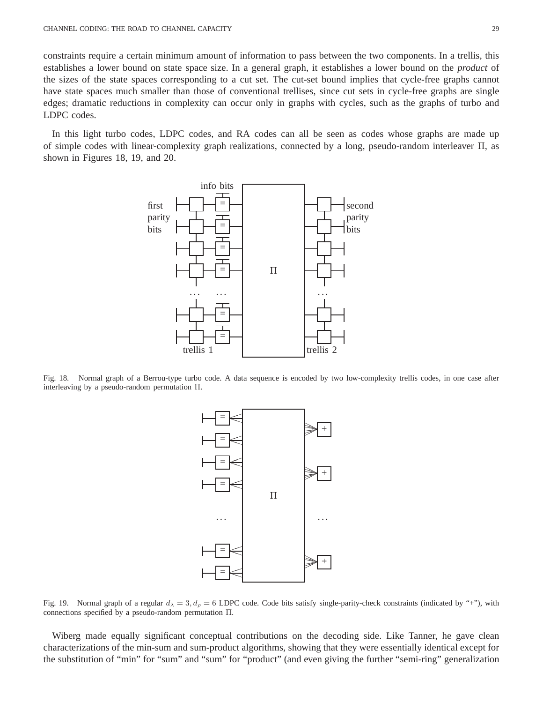constraints require a certain minimum amount of information to pass between the two components. In a trellis, this establishes a lower bound on state space size. In a general graph, it establishes a lower bound on the *product* of the sizes of the state spaces corresponding to a cut set. The cut-set bound implies that cycle-free graphs cannot have state spaces much smaller than those of conventional trellises, since cut sets in cycle-free graphs are single edges; dramatic reductions in complexity can occur only in graphs with cycles, such as the graphs of turbo and LDPC codes.

In this light turbo codes, LDPC codes, and RA codes can all be seen as codes whose graphs are made up of simple codes with linear-complexity graph realizations, connected by a long, pseudo-random interleaver Π, as shown in Figures 18, 19, and 20.



Fig. 18. Normal graph of a Berrou-type turbo code. A data sequence is encoded by two low-complexity trellis codes, in one case after interleaving by a pseudo-random permutation Π.



Fig. 19. Normal graph of a regular  $d<sub>\lambda</sub> = 3, d<sub>\rho</sub> = 6$  LDPC code. Code bits satisfy single-parity-check constraints (indicated by "+"), with connections specified by a pseudo-random permutation Π.

Wiberg made equally significant conceptual contributions on the decoding side. Like Tanner, he gave clean characterizations of the min-sum and sum-product algorithms, showing that they were essentially identical except for the substitution of "min" for "sum" and "sum" for "product" (and even giving the further "semi-ring" generalization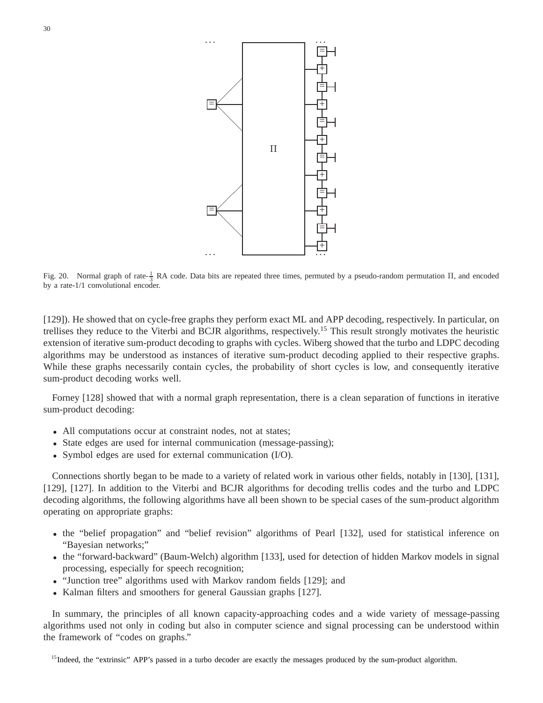

Fig. 20. Normal graph of rate- $\frac{1}{3}$  RA code. Data bits are repeated three times, permuted by a pseudo-random permutation  $\Pi$ , and encoded by a rate-1/1 convolutional encoder.

[129]). He showed that on cycle-free graphs they perform exact ML and APP decoding, respectively. In particular, on trellises they reduce to the Viterbi and BCJR algorithms, respectively.<sup>15</sup> This result strongly motivates the heuristic extension of iterative sum-product decoding to graphs with cycles. Wiberg showed that the turbo and LDPC decoding algorithms may be understood as instances of iterative sum-product decoding applied to their respective graphs. While these graphs necessarily contain cycles, the probability of short cycles is low, and consequently iterative sum-product decoding works well.

Forney [128] showed that with a normal graph representation, there is a clean separation of functions in iterative sum-product decoding:

- All computations occur at constraint nodes, not at states;
- State edges are used for internal communication (message-passing);
- Symbol edges are used for external communication (I/O).

Connections shortly began to be made to a variety of related work in various other fields, notably in [130], [131], [129], [127]. In addition to the Viterbi and BCJR algorithms for decoding trellis codes and the turbo and LDPC decoding algorithms, the following algorithms have all been shown to be special cases of the sum-product algorithm operating on appropriate graphs:

- the "belief propagation" and "belief revision" algorithms of Pearl [132], used for statistical inference on "Bayesian networks;"
- the "forward-backward" (Baum-Welch) algorithm [133], used for detection of hidden Markov models in signal processing, especially for speech recognition;
- "Junction tree" algorithms used with Markov random fields [129]; and
- Kalman filters and smoothers for general Gaussian graphs [127].

In summary, the principles of all known capacity-approaching codes and a wide variety of message-passing algorithms used not only in coding but also in computer science and signal processing can be understood within the framework of "codes on graphs."

<sup>15</sup>Indeed, the "extrinsic" APP's passed in a turbo decoder are exactly the messages produced by the sum-product algorithm.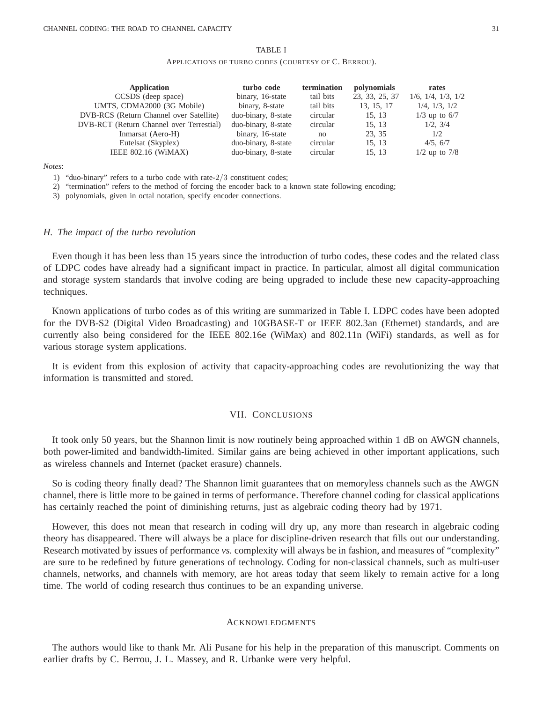## TABLE I

#### APPLICATIONS OF TURBO CODES (COURTESY OF C. BERROU).

| $1/6$ , $1/4$ , $1/3$ , $1/2$ |
|-------------------------------|
| $1/4$ , $1/3$ , $1/2$         |
| $1/3$ up to $6/7$             |
| $1/2$ , $3/4$                 |
| 1/2                           |
| 4/5, 6/7                      |
| $1/2$ up to $7/8$             |
|                               |

*Notes*:

1) "duo-binary" refers to a turbo code with rate-2/3 constituent codes;

2) "termination" refers to the method of forcing the encoder back to a known state following encoding;

3) polynomials, given in octal notation, specify encoder connections.

#### *H. The impact of the turbo revolution*

Even though it has been less than 15 years since the introduction of turbo codes, these codes and the related class of LDPC codes have already had a significant impact in practice. In particular, almost all digital communication and storage system standards that involve coding are being upgraded to include these new capacity-approaching techniques.

Known applications of turbo codes as of this writing are summarized in Table I. LDPC codes have been adopted for the DVB-S2 (Digital Video Broadcasting) and 10GBASE-T or IEEE 802.3an (Ethernet) standards, and are currently also being considered for the IEEE 802.16e (WiMax) and 802.11n (WiFi) standards, as well as for various storage system applications.

It is evident from this explosion of activity that capacity-approaching codes are revolutionizing the way that information is transmitted and stored.

## VII. CONCLUSIONS

It took only 50 years, but the Shannon limit is now routinely being approached within 1 dB on AWGN channels, both power-limited and bandwidth-limited. Similar gains are being achieved in other important applications, such as wireless channels and Internet (packet erasure) channels.

So is coding theory finally dead? The Shannon limit guarantees that on memoryless channels such as the AWGN channel, there is little more to be gained in terms of performance. Therefore channel coding for classical applications has certainly reached the point of diminishing returns, just as algebraic coding theory had by 1971.

However, this does not mean that research in coding will dry up, any more than research in algebraic coding theory has disappeared. There will always be a place for discipline-driven research that fills out our understanding. Research motivated by issues of performance *vs.* complexity will always be in fashion, and measures of "complexity" are sure to be redefined by future generations of technology. Coding for non-classical channels, such as multi-user channels, networks, and channels with memory, are hot areas today that seem likely to remain active for a long time. The world of coding research thus continues to be an expanding universe.

#### ACKNOWLEDGMENTS

The authors would like to thank Mr. Ali Pusane for his help in the preparation of this manuscript. Comments on earlier drafts by C. Berrou, J. L. Massey, and R. Urbanke were very helpful.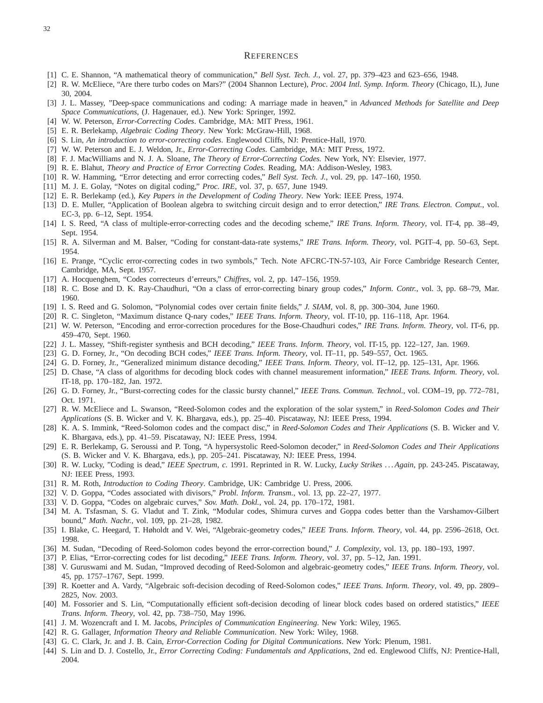#### **REFERENCES**

- [1] C. E. Shannon, "A mathematical theory of communication," *Bell Syst. Tech. J.*, vol. 27, pp. 379–423 and 623–656, 1948.
- [2] R. W. McEliece, "Are there turbo codes on Mars?" (2004 Shannon Lecture), *Proc. 2004 Intl. Symp. Inform. Theory* (Chicago, IL), June 30, 2004.
- [3] J. L. Massey, "Deep-space communications and coding: A marriage made in heaven," in *Advanced Methods for Satellite and Deep Space Communications*, (J. Hagenauer, ed.). New York: Springer, 1992.
- [4] W. W. Peterson, *Error-Correcting Codes*. Cambridge, MA: MIT Press, 1961.
- [5] E. R. Berlekamp, *Algebraic Coding Theory*. New York: McGraw-Hill, 1968.
- [6] S. Lin, *An introduction to error-correcting codes*. Englewood Cliffs, NJ: Prentice-Hall, 1970.
- [7] W. W. Peterson and E. J. Weldon, Jr., *Error-Correcting Codes*. Cambridge, MA: MIT Press, 1972.
- [8] F. J. MacWilliams and N. J. A. Sloane, *The Theory of Error-Correcting Codes.* New York, NY: Elsevier, 1977.
- [9] R. E. Blahut, *Theory and Practice of Error Correcting Codes.* Reading, MA: Addison-Wesley, 1983.
- [10] R. W. Hamming, "Error detecting and error correcting codes," *Bell Syst. Tech. J.*, vol. 29, pp. 147–160, 1950.
- [11] M. J. E. Golay, "Notes on digital coding," *Proc. IRE*, vol. 37, p. 657, June 1949.
- [12] E. R. Berlekamp (ed.), *Key Papers in the Development of Coding Theory*. New York: IEEE Press, 1974.
- [13] D. E. Muller, "Application of Boolean algebra to switching circuit design and to error detection," *IRE Trans. Electron. Comput.*, vol. EC-3, pp. 6–12, Sept. 1954.
- [14] I. S. Reed, "A class of multiple-error-correcting codes and the decoding scheme," *IRE Trans. Inform. Theory*, vol. IT-4, pp. 38–49, Sept. 1954.
- [15] R. A. Silverman and M. Balser, "Coding for constant-data-rate systems," *IRE Trans. Inform. Theory*, vol. PGIT–4, pp. 50–63, Sept. 1954.
- [16] E. Prange, "Cyclic error-correcting codes in two symbols," Tech. Note AFCRC-TN-57-103, Air Force Cambridge Research Center, Cambridge, MA, Sept. 1957.
- [17] A. Hocquenghem, "Codes correcteurs d'erreurs," *Chiffres*, vol. 2, pp. 147–156, 1959.
- [18] R. C. Bose and D. K. Ray-Chaudhuri, "On a class of error-correcting binary group codes," *Inform. Contr.*, vol. 3, pp. 68–79, Mar. 1960.
- [19] I. S. Reed and G. Solomon, "Polynomial codes over certain finite fields," *J. SIAM*, vol. 8, pp. 300–304, June 1960.
- [20] R. C. Singleton, "Maximum distance Q-nary codes," *IEEE Trans. Inform. Theory*, vol. IT-10, pp. 116–118, Apr. 1964.
- [21] W. W. Peterson, "Encoding and error-correction procedures for the Bose-Chaudhuri codes," *IRE Trans. Inform. Theory*, vol. IT-6, pp. 459–470, Sept. 1960.
- [22] J. L. Massey, "Shift-register synthesis and BCH decoding," *IEEE Trans. Inform. Theory*, vol. IT-15, pp. 122–127, Jan. 1969.
- [23] G. D. Forney, Jr., "On decoding BCH codes," *IEEE Trans. Inform. Theory*, vol. IT–11, pp. 549–557, Oct. 1965.
- [24] G. D. Forney, Jr., "Generalized minimum distance decoding," *IEEE Trans. Inform. Theory*, vol. IT–12, pp. 125–131, Apr. 1966.
- [25] D. Chase, "A class of algorithms for decoding block codes with channel measurement information," *IEEE Trans. Inform. Theory*, vol. IT-18, pp. 170–182, Jan. 1972.
- [26] G. D. Forney, Jr., "Burst-correcting codes for the classic bursty channel," *IEEE Trans. Commun. Technol.*, vol. COM–19, pp. 772–781, Oct. 1971.
- [27] R. W. McEliece and L. Swanson, "Reed-Solomon codes and the exploration of the solar system," in *Reed-Solomon Codes and Their Applications* (S. B. Wicker and V. K. Bhargava, eds.), pp. 25–40. Piscataway, NJ: IEEE Press, 1994.
- [28] K. A. S. Immink, "Reed-Solomon codes and the compact disc," in *Reed-Solomon Codes and Their Applications* (S. B. Wicker and V. K. Bhargava, eds.), pp. 41–59. Piscataway, NJ: IEEE Press, 1994.
- [29] E. R. Berlekamp, G. Seroussi and P. Tong, "A hypersystolic Reed-Solomon decoder," in *Reed-Solomon Codes and Their Applications* (S. B. Wicker and V. K. Bhargava, eds.), pp. 205–241. Piscataway, NJ: IEEE Press, 1994.
- [30] R. W. Lucky, "Coding is dead," *IEEE Spectrum*, *c.* 1991. Reprinted in R. W. Lucky, *Lucky Strikes . . . Again*, pp. 243-245. Piscataway, NJ: IEEE Press, 1993.
- [31] R. M. Roth, *Introduction to Coding Theory*. Cambridge, UK: Cambridge U. Press, 2006.
- [32] V. D. Goppa, "Codes associated with divisors," *Probl. Inform. Transm.*, vol. 13, pp. 22–27, 1977.
- [33] V. D. Goppa, "Codes on algebraic curves," *Sov. Math. Dokl.*, vol. 24, pp. 170–172, 1981.
- [34] M. A. Tsfasman, S. G. Vladut and T. Zink, "Modular codes, Shimura curves and Goppa codes better than the Varshamov-Gilbert bound," *Math. Nachr.*, vol. 109, pp. 21–28, 1982.
- [35] I. Blake, C. Heegard, T. Høholdt and V. Wei, "Algebraic-geometry codes," *IEEE Trans. Inform. Theory*, vol. 44, pp. 2596–2618, Oct. 1998.
- [36] M. Sudan, "Decoding of Reed-Solomon codes beyond the error-correction bound," *J. Complexity*, vol. 13, pp. 180–193, 1997.
- [37] P. Elias, "Error-correcting codes for list decoding," *IEEE Trans. Inform. Theory*, vol. 37, pp. 5–12, Jan. 1991.
- [38] V. Guruswami and M. Sudan, "Improved decoding of Reed-Solomon and algebraic-geometry codes," *IEEE Trans. Inform. Theory*, vol. 45, pp. 1757–1767, Sept. 1999.
- [39] R. Koetter and A. Vardy, "Algebraic soft-decision decoding of Reed-Solomon codes," *IEEE Trans. Inform. Theory*, vol. 49, pp. 2809– 2825, Nov. 2003.
- [40] M. Fossorier and S. Lin, "Computationally efficient soft-decision decoding of linear block codes based on ordered statistics," *IEEE Trans. Inform. Theory*, vol. 42, pp. 738–750, May 1996.
- [41] J. M. Wozencraft and I. M. Jacobs, *Principles of Communication Engineering*. New York: Wiley, 1965.
- [42] R. G. Gallager, *Information Theory and Reliable Communication*. New York: Wiley, 1968.
- [43] G. C. Clark, Jr. and J. B. Cain, *Error-Correction Coding for Digital Communications*. New York: Plenum, 1981.
- [44] S. Lin and D. J. Costello, Jr., *Error Correcting Coding: Fundamentals and Applications*, 2nd ed. Englewood Cliffs, NJ: Prentice-Hall, 2004.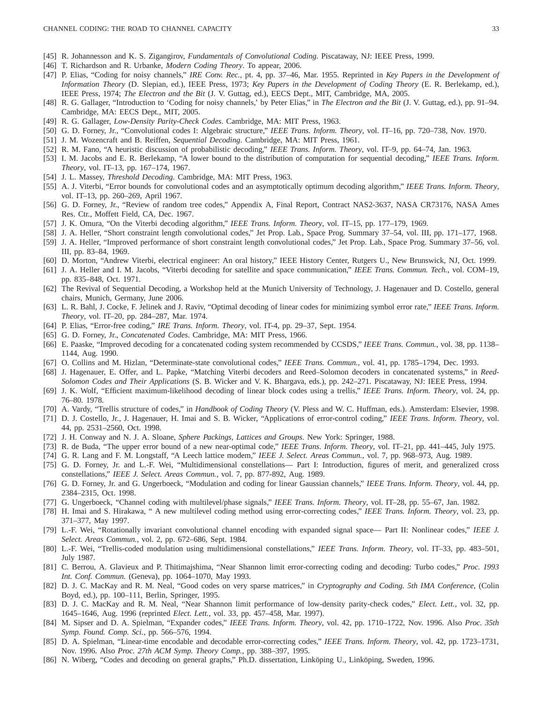- [45] R. Johannesson and K. S. Zigangirov, *Fundamentals of Convolutional Coding*. Piscataway, NJ: IEEE Press, 1999.
- [46] T. Richardson and R. Urbanke, *Modern Coding Theory*. To appear, 2006.
- [47] P. Elias, "Coding for noisy channels," *IRE Conv. Rec.*, pt. 4, pp. 37–46, Mar. 1955. Reprinted in *Key Papers in the Development of Information Theory* (D. Slepian, ed.), IEEE Press, 1973; *Key Papers in the Development of Coding Theory* (E. R. Berlekamp, ed.), IEEE Press, 1974; *The Electron and the Bit* (J. V. Guttag, ed.), EECS Dept., MIT, Cambridge, MA, 2005.
- [48] R. G. Gallager, "Introduction to 'Coding for noisy channels,' by Peter Elias," in *The Electron and the Bit* (J. V. Guttag, ed.), pp. 91–94. Cambridge, MA: EECS Dept., MIT, 2005.
- [49] R. G. Gallager, *Low-Density Parity-Check Codes*. Cambridge, MA: MIT Press, 1963.
- [50] G. D. Forney, Jr., "Convolutional codes I: Algebraic structure," *IEEE Trans. Inform. Theory*, vol. IT–16, pp. 720–738, Nov. 1970.
- [51] J. M. Wozencraft and B. Reiffen, *Sequential Decoding*. Cambridge, MA: MIT Press, 1961.
- [52] R. M. Fano, "A heuristic discussion of probabilistic decoding," *IEEE Trans. Inform. Theory*, vol. IT–9, pp. 64–74, Jan. 1963.
- [53] I. M. Jacobs and E. R. Berlekamp, "A lower bound to the distribution of computation for sequential decoding," *IEEE Trans. Inform. Theory*, vol. IT–13, pp. 167–174, 1967.
- [54] J. L. Massey, *Threshold Decoding*. Cambridge, MA: MIT Press, 1963.
- [55] A. J. Viterbi, "Error bounds for convolutional codes and an asymptotically optimum decoding algorithm," *IEEE Trans. Inform. Theory*, vol. IT–13, pp. 260–269, April 1967.
- [56] G. D. Forney, Jr., "Review of random tree codes," Appendix A, Final Report, Contract NAS2-3637, NASA CR73176, NASA Ames Res. Ctr., Moffett Field, CA, Dec. 1967.
- [57] J. K. Omura, "On the Viterbi decoding algorithm," *IEEE Trans. Inform. Theory*, vol. IT–15, pp. 177–179, 1969.
- [58] J. A. Heller, "Short constraint length convolutional codes," Jet Prop. Lab., Space Prog. Summary 37–54, vol. III, pp. 171–177, 1968.
- [59] J. A. Heller, "Improved performance of short constraint length convolutional codes," Jet Prop. Lab., Space Prog. Summary 37–56, vol. III, pp. 83–84, 1969.
- [60] D. Morton, "Andrew Viterbi, electrical engineer: An oral history," IEEE History Center, Rutgers U., New Brunswick, NJ, Oct. 1999.
- [61] J. A. Heller and I. M. Jacobs, "Viterbi decoding for satellite and space communication," *IEEE Trans. Commun. Tech.*, vol. COM–19, pp. 835–848, Oct. 1971.
- [62] The Revival of Sequential Decoding, a Workshop held at the Munich University of Technology, J. Hagenauer and D. Costello, general chairs, Munich, Germany, June 2006.
- [63] L. R. Bahl, J. Cocke, F. Jelinek and J. Raviv, "Optimal decoding of linear codes for minimizing symbol error rate," *IEEE Trans. Inform. Theory*, vol. IT–20, pp. 284–287, Mar. 1974.
- [64] P. Elias, "Error-free coding," *IRE Trans. Inform. Theory*, vol. IT-4, pp. 29–37, Sept. 1954.
- [65] G. D. Forney, Jr., *Concatenated Codes*. Cambridge, MA: MIT Press, 1966.
- [66] E. Paaske, "Improved decoding for a concatenated coding system recommended by CCSDS," *IEEE Trans. Commun.*, vol. 38, pp. 1138– 1144, Aug. 1990.
- [67] O. Collins and M. Hizlan, "Determinate-state convolutional codes," *IEEE Trans. Commun.*, vol. 41, pp. 1785–1794, Dec. 1993.
- [68] J. Hagenauer, E. Offer, and L. Papke, "Matching Viterbi decoders and Reed–Solomon decoders in concatenated systems," in *Reed-Solomon Codes and Their Applications* (S. B. Wicker and V. K. Bhargava, eds.), pp. 242–271. Piscataway, NJ: IEEE Press, 1994.
- [69] J. K. Wolf, "Efficient maximum-likelihood decoding of linear block codes using a trellis," *IEEE Trans. Inform. Theory*, vol. 24, pp. 76–80. 1978.
- [70] A. Vardy, "Trellis structure of codes," in *Handbook of Coding Theory* (V. Pless and W. C. Huffman, eds.). Amsterdam: Elsevier, 1998.
- [71] D. J. Costello, Jr., J. Hagenauer, H. Imai and S. B. Wicker, "Applications of error-control coding," *IEEE Trans. Inform. Theory*, vol. 44, pp. 2531–2560, Oct. 1998.
- [72] J. H. Conway and N. J. A. Sloane, *Sphere Packings, Lattices and Groups*. New York: Springer, 1988.
- [73] R. de Buda, "The upper error bound of a new near-optimal code," *IEEE Trans. Inform. Theory*, vol. IT–21, pp. 441–445, July 1975.
- [74] G. R. Lang and F. M. Longstaff, "A Leech lattice modem," *IEEE J. Select. Areas Commun.*, vol. 7, pp. 968–973, Aug. 1989.
- [75] G. D. Forney, Jr. and L.-F. Wei, "Multidimensional constellations— Part I: Introduction, figures of merit, and generalized cross constellations," *IEEE J. Select. Areas Commun.*, vol. 7, pp. 877-892, Aug. 1989.
- [76] G. D. Forney, Jr. and G. Ungerboeck, "Modulation and coding for linear Gaussian channels," *IEEE Trans. Inform. Theory*, vol. 44, pp. 2384–2315, Oct. 1998.
- [77] G. Ungerboeck, "Channel coding with multilevel/phase signals," *IEEE Trans. Inform. Theory*, vol. IT–28, pp. 55–67, Jan. 1982.
- [78] H. Imai and S. Hirakawa, " A new multilevel coding method using error-correcting codes," *IEEE Trans. Inform. Theory*, vol. 23, pp. 371–377, May 1997.
- [79] L.-F. Wei, "Rotationally invariant convolutional channel encoding with expanded signal space— Part II: Nonlinear codes," *IEEE J. Select. Areas Commun.*, vol. 2, pp. 672–686, Sept. 1984.
- [80] L.-F. Wei, "Trellis-coded modulation using multidimensional constellations," *IEEE Trans. Inform. Theory*, vol. IT–33, pp. 483–501, July 1987.
- [81] C. Berrou, A. Glavieux and P. Thitimajshima, "Near Shannon limit error-correcting coding and decoding: Turbo codes," *Proc. 1993 Int. Conf. Commun.* (Geneva), pp. 1064–1070, May 1993.
- [82] D. J. C. MacKay and R. M. Neal, "Good codes on very sparse matrices," in *Cryptography and Coding. 5th IMA Conference*, (Colin Boyd, ed.), pp. 100–111, Berlin, Springer, 1995.
- [83] D. J. C. MacKay and R. M. Neal, "Near Shannon limit performance of low-density parity-check codes," *Elect. Lett.*, vol. 32, pp. 1645–1646, Aug. 1996 (reprinted *Elect. Lett.*, vol. 33, pp. 457–458, Mar. 1997).
- [84] M. Sipser and D. A. Spielman, "Expander codes," *IEEE Trans. Inform. Theory*, vol. 42, pp. 1710–1722, Nov. 1996. Also *Proc. 35th Symp. Found. Comp. Sci.*, pp. 566–576, 1994.
- [85] D. A. Spielman, "Linear-time encodable and decodable error-correcting codes," *IEEE Trans. Inform. Theory*, vol. 42, pp. 1723–1731, Nov. 1996. Also *Proc. 27th ACM Symp. Theory Comp.*, pp. 388–397, 1995.
- [86] N. Wiberg, "Codes and decoding on general graphs," Ph.D. dissertation, Linköping U., Linköping, Sweden, 1996.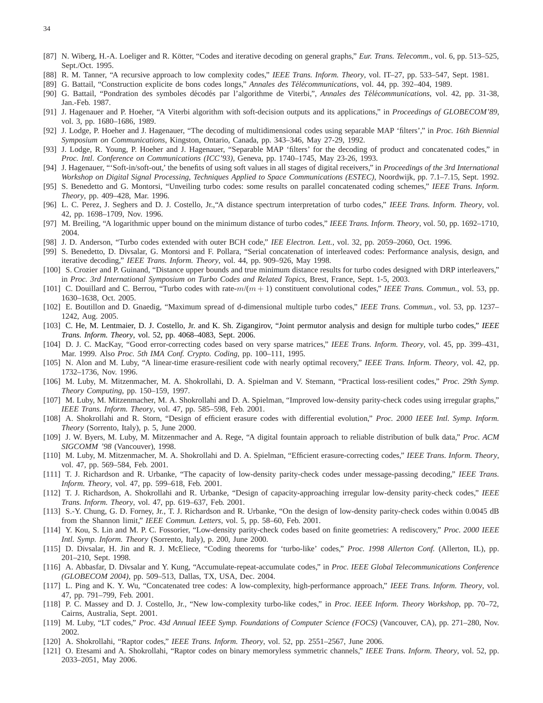- [87] N. Wiberg, H.-A. Loeliger and R. Kötter, "Codes and iterative decoding on general graphs," *Eur. Trans. Telecomm.*, vol. 6, pp. 513–525, Sept./Oct. 1995.
- [88] R. M. Tanner, "A recursive approach to low complexity codes," *IEEE Trans. Inform. Theory*, vol. IT–27, pp. 533–547, Sept. 1981.
- [89] G. Battail, "Construction explicite de bons codes longs," *Annales des Télécommunications*, vol. 44, pp. 392–404, 1989.
- [90] G. Battail, "Pondration des symboles décodés par l'algorithme de Viterbi,", *Annales des Télécommunications*, vol. 42, pp. 31-38,
- Jan.-Feb. 1987. [91] J. Hagenauer and P. Hoeher, "A Viterbi algorithm with soft-decision outputs and its applications," in *Proceedings of GLOBECOM'89*, vol. 3, pp. 1680–1686, 1989.
- [92] J. Lodge, P. Hoeher and J. Hagenauer, "The decoding of multidimensional codes using separable MAP 'filters'," in *Proc. 16th Biennial Symposium on Communications*, Kingston, Ontario, Canada, pp. 343–346, May 27-29, 1992.
- [93] J. Lodge, R. Young, P. Hoeher and J. Hagenauer, "Separable MAP 'filters' for the decoding of product and concatenated codes," in *Proc. Intl. Conference on Communications (ICC'93)*, Geneva, pp. 1740–1745, May 23-26, 1993.
- [94] J. Hagenauer, "'Soft-in/soft-out,' the benefits of using soft values in all stages of digital receivers," in *Proceedings of the 3rd International Workshop on Digital Signal Processing, Techniques Applied to Space Communications (ESTEC)*, Noordwijk, pp. 7.1–7.15, Sept. 1992.
- [95] S. Benedetto and G. Montorsi, "Unveiling turbo codes: some results on parallel concatenated coding schemes," *IEEE Trans. Inform. Theory*, pp. 409–428, Mar. 1996.
- [96] L. C. Perez, J. Seghers and D. J. Costello, Jr.,"A distance spectrum interpretation of turbo codes," *IEEE Trans. Inform. Theory*, vol. 42, pp. 1698–1709, Nov. 1996.
- [97] M. Breiling, "A logarithmic upper bound on the minimum distance of turbo codes," *IEEE Trans. Inform. Theory*, vol. 50, pp. 1692–1710, 2004.
- [98] J. D. Anderson, "Turbo codes extended with outer BCH code," *IEE Electron. Lett.*, vol. 32, pp. 2059–2060, Oct. 1996.
- [99] S. Benedetto, D. Divsalar, G. Montorsi and F. Pollara, "Serial concatenation of interleaved codes: Performance analysis, design, and iterative decoding," *IEEE Trans. Inform. Theory*, vol. 44, pp. 909–926, May 1998.
- [100] S. Crozier and P. Guinand, "Distance upper bounds and true minimum distance results for turbo codes designed with DRP interleavers," in *Proc. 3rd International Symposium on Turbo Codes and Related Topics*, Brest, France, Sept. 1-5, 2003.
- [101] C. Douillard and C. Berrou, "Turbo codes with rate-m/(m + 1) constituent convolutional codes," *IEEE Trans. Commun.*, vol. 53, pp. 1630–1638, Oct. 2005.
- [102] E. Boutillon and D. Gnaedig, "Maximum spread of d-dimensional multiple turbo codes," *IEEE Trans. Commun.*, vol. 53, pp. 1237– 1242, Aug. 2005.
- [103] C. He, M. Lentmaier, D. J. Costello, Jr. and K. Sh. Zigangirov, "Joint permutor analysis and design for multiple turbo codes," *IEEE Trans. Inform. Theory*, vol. 52, pp. 4068–4083, Sept. 2006.
- [104] D. J. C. MacKay, "Good error-correcting codes based on very sparse matrices," *IEEE Trans. Inform. Theory*, vol. 45, pp. 399–431, Mar. 1999. Also *Proc. 5th IMA Conf. Crypto. Coding*, pp. 100–111, 1995.
- [105] N. Alon and M. Luby, "A linear-time erasure-resilient code with nearly optimal recovery," *IEEE Trans. Inform. Theory*, vol. 42, pp. 1732–1736, Nov. 1996.
- [106] M. Luby, M. Mitzenmacher, M. A. Shokrollahi, D. A. Spielman and V. Stemann, "Practical loss-resilient codes," *Proc. 29th Symp. Theory Computing*, pp. 150–159, 1997.
- [107] M. Luby, M. Mitzenmacher, M. A. Shokrollahi and D. A. Spielman, "Improved low-density parity-check codes using irregular graphs," *IEEE Trans. Inform. Theory*, vol. 47, pp. 585–598, Feb. 2001.
- [108] A. Shokrollahi and R. Storn, "Design of efficient erasure codes with differential evolution," *Proc. 2000 IEEE Intl. Symp. Inform. Theory* (Sorrento, Italy), p. 5, June 2000.
- [109] J. W. Byers, M. Luby, M. Mitzenmacher and A. Rege, "A digital fountain approach to reliable distribution of bulk data," *Proc. ACM SIGCOMM '98* (Vancouver), 1998.
- [110] M. Luby, M. Mitzenmacher, M. A. Shokrollahi and D. A. Spielman, "Efficient erasure-correcting codes," *IEEE Trans. Inform. Theory*, vol. 47, pp. 569–584, Feb. 2001.
- [111] T. J. Richardson and R. Urbanke, "The capacity of low-density parity-check codes under message-passing decoding," *IEEE Trans. Inform. Theory*, vol. 47, pp. 599–618, Feb. 2001.
- [112] T. J. Richardson, A. Shokrollahi and R. Urbanke, "Design of capacity-approaching irregular low-density parity-check codes," *IEEE Trans. Inform. Theory*, vol. 47, pp. 619–637, Feb. 2001.
- [113] S.-Y. Chung, G. D. Forney, Jr., T. J. Richardson and R. Urbanke, "On the design of low-density parity-check codes within 0.0045 dB from the Shannon limit," *IEEE Commun. Letters*, vol. 5, pp. 58–60, Feb. 2001.
- [114] Y. Kou, S. Lin and M. P. C. Fossorier, "Low-density parity-check codes based on finite geometries: A rediscovery," *Proc. 2000 IEEE Intl. Symp. Inform. Theory* (Sorrento, Italy), p. 200, June 2000.
- [115] D. Divsalar, H. Jin and R. J. McEliece, "Coding theorems for 'turbo-like' codes," *Proc. 1998 Allerton Conf.* (Allerton, IL), pp. 201–210, Sept. 1998.
- [116] A. Abbasfar, D. Divsalar and Y. Kung, "Accumulate-repeat-accumulate codes," in *Proc. IEEE Global Telecommunications Conference (GLOBECOM 2004)*, pp. 509–513, Dallas, TX, USA, Dec. 2004.
- [117] L. Ping and K. Y. Wu, "Concatenated tree codes: A low-complexity, high-performance approach," *IEEE Trans. Inform. Theory*, vol. 47, pp. 791–799, Feb. 2001.
- [118] P. C. Massey and D. J. Costello, Jr., "New low-complexity turbo-like codes," in *Proc. IEEE Inform. Theory Workshop*, pp. 70–72, Cairns, Australia, Sept. 2001.
- [119] M. Luby, "LT codes," *Proc. 43d Annual IEEE Symp. Foundations of Computer Science (FOCS)* (Vancouver, CA), pp. 271–280, Nov. 2002.
- [120] A. Shokrollahi, "Raptor codes," *IEEE Trans. Inform. Theory*, vol. 52, pp. 2551–2567, June 2006.
- [121] O. Etesami and A. Shokrollahi, "Raptor codes on binary memoryless symmetric channels," *IEEE Trans. Inform. Theory*, vol. 52, pp. 2033–2051, May 2006.